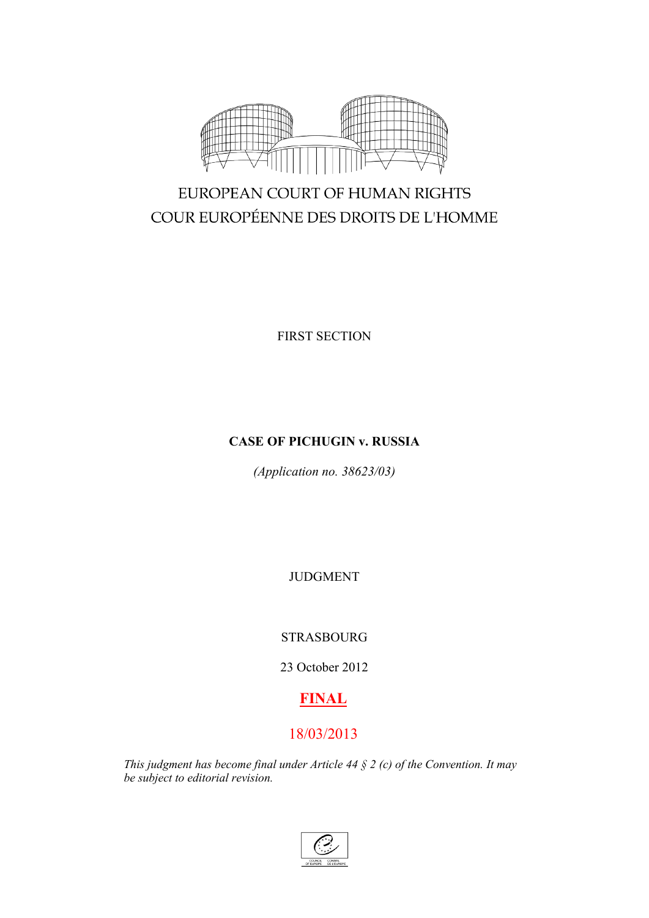

# EUROPEAN COURT OF HUMAN RIGHTS COUR EUROPÉENNE DES DROITS DE L'HOMME

FIRST SECTION

# **CASE OF PICHUGIN v. RUSSIA**

*(Application no. 38623/03)*

JUDGMENT

# STRASBOURG

23 October 2012

# **FINAL**

# 18/03/2013

*This judgment has become final under Article 44 § 2 (c) of the Convention. It may be subject to editorial revision.*

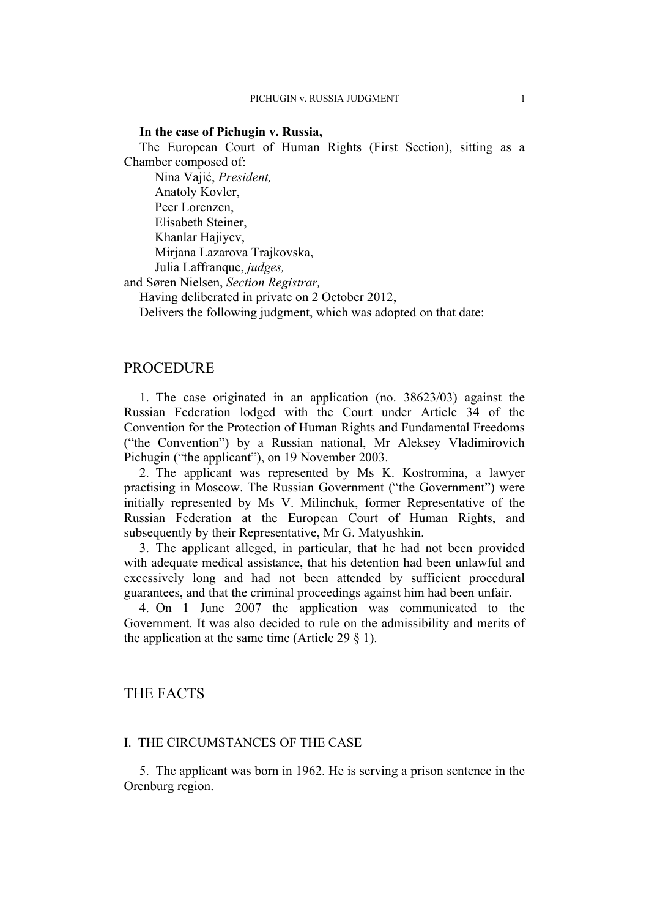#### **In the case of Pichugin v. Russia,**

The European Court of Human Rights (First Section), sitting as a Chamber composed of:

Nina Vajić, *President,* Anatoly Kovler, Peer Lorenzen, Elisabeth Steiner, Khanlar Hajiyev, Mirjana Lazarova Trajkovska, Julia Laffranque, *judges,*

and Søren Nielsen, *Section Registrar,*

Having deliberated in private on 2 October 2012,

Delivers the following judgment, which was adopted on that date:

## **PROCEDURE**

1. The case originated in an application (no. 38623/03) against the Russian Federation lodged with the Court under Article 34 of the Convention for the Protection of Human Rights and Fundamental Freedoms ("the Convention") by a Russian national, Mr Aleksey Vladimirovich Pichugin ("the applicant"), on 19 November 2003.

2. The applicant was represented by Ms K. Kostromina, a lawyer practising in Moscow. The Russian Government ("the Government") were initially represented by Ms V. Milinchuk, former Representative of the Russian Federation at the European Court of Human Rights, and subsequently by their Representative, Mr G. Matyushkin.

3. The applicant alleged, in particular, that he had not been provided with adequate medical assistance, that his detention had been unlawful and excessively long and had not been attended by sufficient procedural guarantees, and that the criminal proceedings against him had been unfair.

4. On 1 June 2007 the application was communicated to the Government. It was also decided to rule on the admissibility and merits of the application at the same time (Article 29  $\S$  1).

# THE FACTS

#### I. THE CIRCUMSTANCES OF THE CASE

5. The applicant was born in 1962. He is serving a prison sentence in the Orenburg region.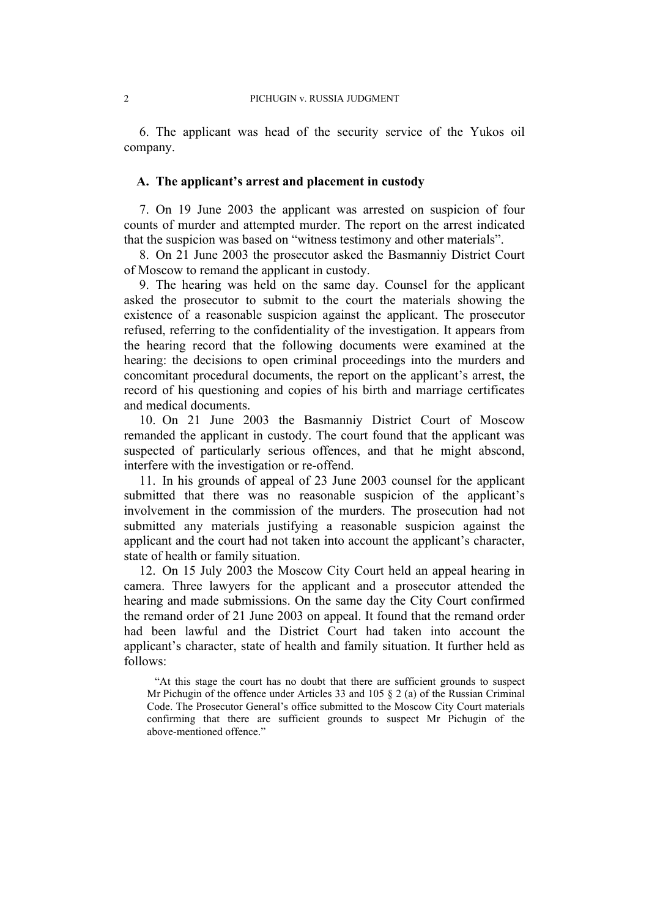6. The applicant was head of the security service of the Yukos oil company.

#### **A. The applicant's arrest and placement in custody**

<span id="page-3-1"></span>7. On 19 June 2003 the applicant was arrested on suspicion of four counts of murder and attempted murder. The report on the arrest indicated that the suspicion was based on "witness testimony and other materials".

8. On 21 June 2003 the prosecutor asked the Basmanniy District Court of Moscow to remand the applicant in custody.

<span id="page-3-0"></span>9. The hearing was held on the same day. Counsel for the applicant asked the prosecutor to submit to the court the materials showing the existence of a reasonable suspicion against the applicant. The prosecutor refused, referring to the confidentiality of the investigation. It appears from the hearing record that the following documents were examined at the hearing: the decisions to open criminal proceedings into the murders and concomitant procedural documents, the report on the applicant's arrest, the record of his questioning and copies of his birth and marriage certificates and medical documents.

10. On 21 June 2003 the Basmanniy District Court of Moscow remanded the applicant in custody. The court found that the applicant was suspected of particularly serious offences, and that he might abscond, interfere with the investigation or re-offend.

11. In his grounds of appeal of 23 June 2003 counsel for the applicant submitted that there was no reasonable suspicion of the applicant's involvement in the commission of the murders. The prosecution had not submitted any materials justifying a reasonable suspicion against the applicant and the court had not taken into account the applicant's character, state of health or family situation.

<span id="page-3-2"></span>12. On 15 July 2003 the Moscow City Court held an appeal hearing in camera. Three lawyers for the applicant and a prosecutor attended the hearing and made submissions. On the same day the City Court confirmed the remand order of 21 June 2003 on appeal. It found that the remand order had been lawful and the District Court had taken into account the applicant's character, state of health and family situation. It further held as follows:

"At this stage the court has no doubt that there are sufficient grounds to suspect Mr Pichugin of the offence under Articles 33 and 105 § 2 (a) of the Russian Criminal Code. The Prosecutor General's office submitted to the Moscow City Court materials confirming that there are sufficient grounds to suspect Mr Pichugin of the above-mentioned offence."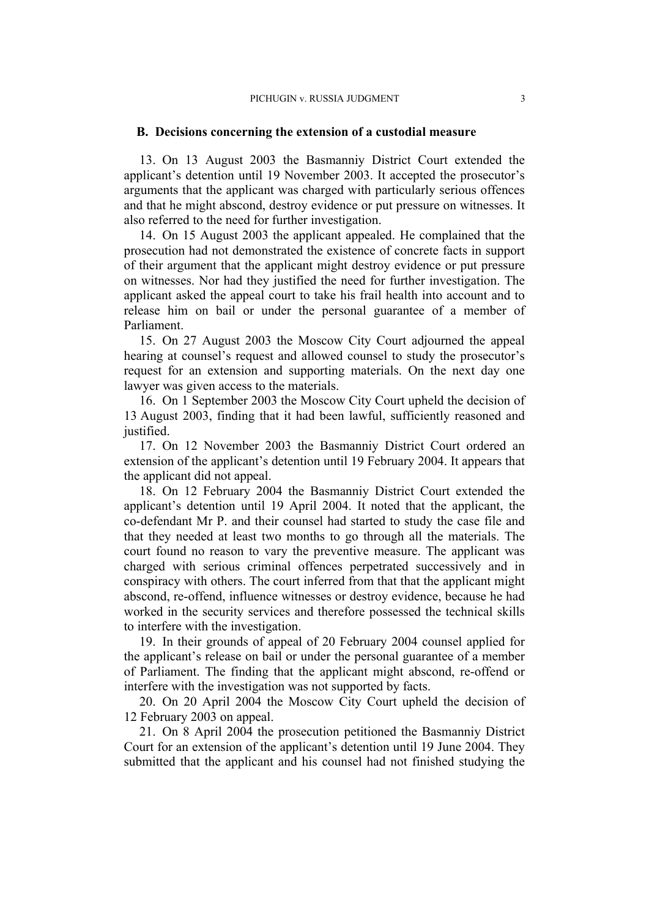#### **B. Decisions concerning the extension of a custodial measure**

13. On 13 August 2003 the Basmanniy District Court extended the applicant's detention until 19 November 2003. It accepted the prosecutor's arguments that the applicant was charged with particularly serious offences and that he might abscond, destroy evidence or put pressure on witnesses. It also referred to the need for further investigation.

14. On 15 August 2003 the applicant appealed. He complained that the prosecution had not demonstrated the existence of concrete facts in support of their argument that the applicant might destroy evidence or put pressure on witnesses. Nor had they justified the need for further investigation. The applicant asked the appeal court to take his frail health into account and to release him on bail or under the personal guarantee of a member of Parliament.

15. On 27 August 2003 the Moscow City Court adjourned the appeal hearing at counsel's request and allowed counsel to study the prosecutor's request for an extension and supporting materials. On the next day one lawyer was given access to the materials.

16. On 1 September 2003 the Moscow City Court upheld the decision of 13 August 2003, finding that it had been lawful, sufficiently reasoned and justified.

17. On 12 November 2003 the Basmanniy District Court ordered an extension of the applicant's detention until 19 February 2004. It appears that the applicant did not appeal.

<span id="page-4-0"></span>18. On 12 February 2004 the Basmanniy District Court extended the applicant's detention until 19 April 2004. It noted that the applicant, the co-defendant Mr P. and their counsel had started to study the case file and that they needed at least two months to go through all the materials. The court found no reason to vary the preventive measure. The applicant was charged with serious criminal offences perpetrated successively and in conspiracy with others. The court inferred from that that the applicant might abscond, re-offend, influence witnesses or destroy evidence, because he had worked in the security services and therefore possessed the technical skills to interfere with the investigation.

19. In their grounds of appeal of 20 February 2004 counsel applied for the applicant's release on bail or under the personal guarantee of a member of Parliament. The finding that the applicant might abscond, re-offend or interfere with the investigation was not supported by facts.

20. On 20 April 2004 the Moscow City Court upheld the decision of 12 February 2003 on appeal.

21. On 8 April 2004 the prosecution petitioned the Basmanniy District Court for an extension of the applicant's detention until 19 June 2004. They submitted that the applicant and his counsel had not finished studying the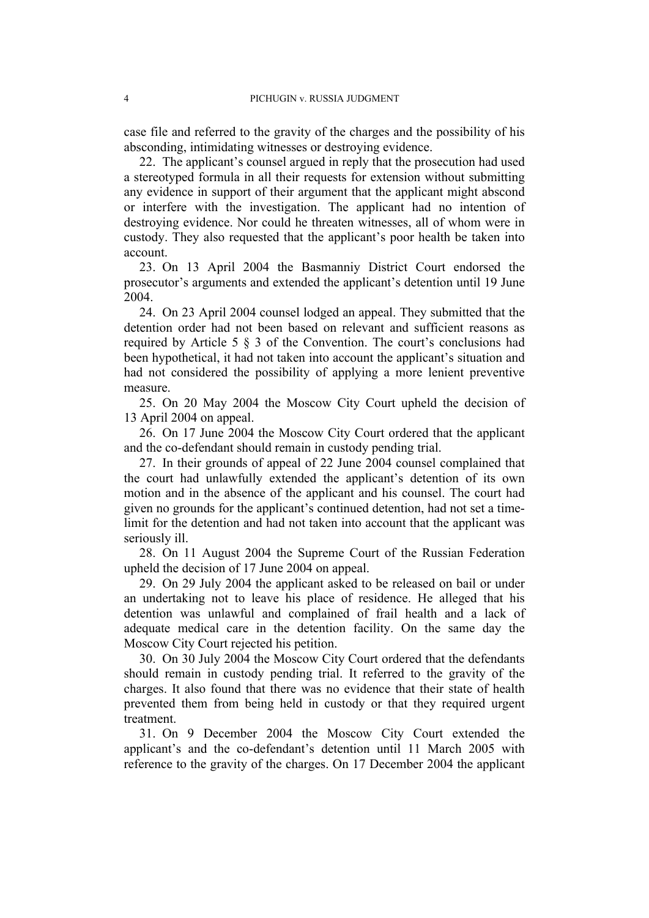case file and referred to the gravity of the charges and the possibility of his absconding, intimidating witnesses or destroying evidence.

<span id="page-5-0"></span>22. The applicant's counsel argued in reply that the prosecution had used a stereotyped formula in all their requests for extension without submitting any evidence in support of their argument that the applicant might abscond or interfere with the investigation. The applicant had no intention of destroying evidence. Nor could he threaten witnesses, all of whom were in custody. They also requested that the applicant's poor health be taken into account.

23. On 13 April 2004 the Basmanniy District Court endorsed the prosecutor's arguments and extended the applicant's detention until 19 June 2004.

24. On 23 April 2004 counsel lodged an appeal. They submitted that the detention order had not been based on relevant and sufficient reasons as required by Article 5 § 3 of the Convention. The court's conclusions had been hypothetical, it had not taken into account the applicant's situation and had not considered the possibility of applying a more lenient preventive measure.

25. On 20 May 2004 the Moscow City Court upheld the decision of 13 April 2004 on appeal.

26. On 17 June 2004 the Moscow City Court ordered that the applicant and the co-defendant should remain in custody pending trial.

27. In their grounds of appeal of 22 June 2004 counsel complained that the court had unlawfully extended the applicant's detention of its own motion and in the absence of the applicant and his counsel. The court had given no grounds for the applicant's continued detention, had not set a timelimit for the detention and had not taken into account that the applicant was seriously ill.

28. On 11 August 2004 the Supreme Court of the Russian Federation upheld the decision of 17 June 2004 on appeal.

29. On 29 July 2004 the applicant asked to be released on bail or under an undertaking not to leave his place of residence. He alleged that his detention was unlawful and complained of frail health and a lack of adequate medical care in the detention facility. On the same day the Moscow City Court rejected his petition.

30. On 30 July 2004 the Moscow City Court ordered that the defendants should remain in custody pending trial. It referred to the gravity of the charges. It also found that there was no evidence that their state of health prevented them from being held in custody or that they required urgent treatment.

31. On 9 December 2004 the Moscow City Court extended the applicant's and the co-defendant's detention until 11 March 2005 with reference to the gravity of the charges. On 17 December 2004 the applicant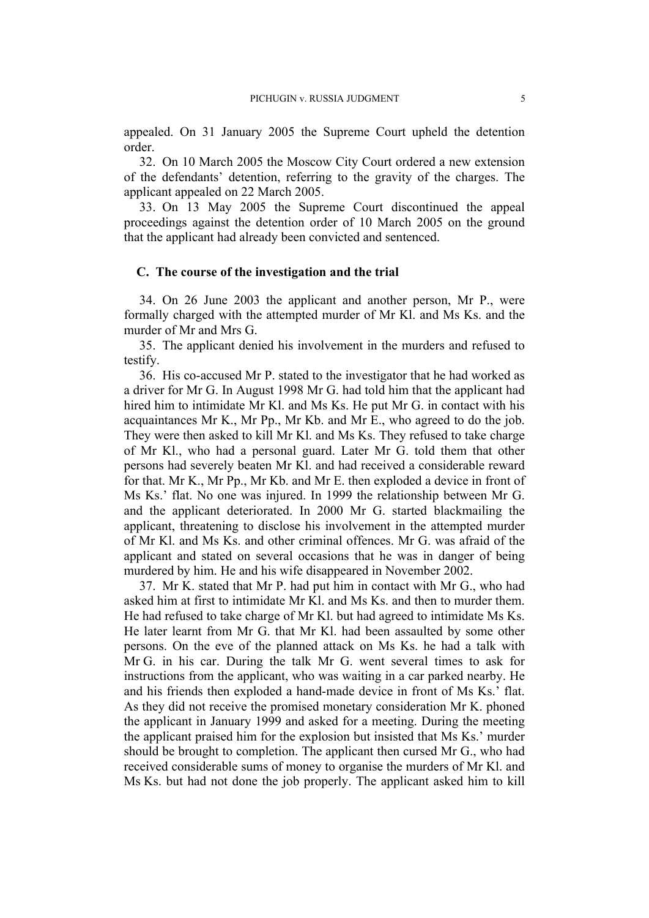appealed. On 31 January 2005 the Supreme Court upheld the detention order.

32. On 10 March 2005 the Moscow City Court ordered a new extension of the defendants' detention, referring to the gravity of the charges. The applicant appealed on 22 March 2005.

33. On 13 May 2005 the Supreme Court discontinued the appeal proceedings against the detention order of 10 March 2005 on the ground that the applicant had already been convicted and sentenced.

# **C. The course of the investigation and the trial**

34. On 26 June 2003 the applicant and another person, Mr P., were formally charged with the attempted murder of Mr Kl. and Ms Ks. and the murder of Mr and Mrs G.

35. The applicant denied his involvement in the murders and refused to testify.

36. His co-accused Mr P. stated to the investigator that he had worked as a driver for Mr G. In August 1998 Mr G. had told him that the applicant had hired him to intimidate Mr Kl. and Ms Ks. He put Mr G. in contact with his acquaintances Mr K., Mr Pp., Mr Kb. and Mr E., who agreed to do the job. They were then asked to kill Mr Kl. and Ms Ks. They refused to take charge of Mr Kl., who had a personal guard. Later Mr G. told them that other persons had severely beaten Mr Kl. and had received a considerable reward for that. Mr K., Mr Pp., Mr Kb. and Mr E. then exploded a device in front of Ms Ks.' flat. No one was injured. In 1999 the relationship between Mr G. and the applicant deteriorated. In 2000 Mr G. started blackmailing the applicant, threatening to disclose his involvement in the attempted murder of Mr Kl. and Ms Ks. and other criminal offences. Mr G. was afraid of the applicant and stated on several occasions that he was in danger of being murdered by him. He and his wife disappeared in November 2002.

37. Mr K. stated that Mr P. had put him in contact with Mr G., who had asked him at first to intimidate Mr Kl. and Ms Ks. and then to murder them. He had refused to take charge of Mr Kl. but had agreed to intimidate Ms Ks. He later learnt from Mr G. that Mr Kl. had been assaulted by some other persons. On the eve of the planned attack on Ms Ks. he had a talk with Mr G. in his car. During the talk Mr G. went several times to ask for instructions from the applicant, who was waiting in a car parked nearby. He and his friends then exploded a hand-made device in front of Ms Ks.' flat. As they did not receive the promised monetary consideration Mr K. phoned the applicant in January 1999 and asked for a meeting. During the meeting the applicant praised him for the explosion but insisted that Ms Ks.' murder should be brought to completion. The applicant then cursed Mr G., who had received considerable sums of money to organise the murders of Mr Kl. and Ms Ks. but had not done the job properly. The applicant asked him to kill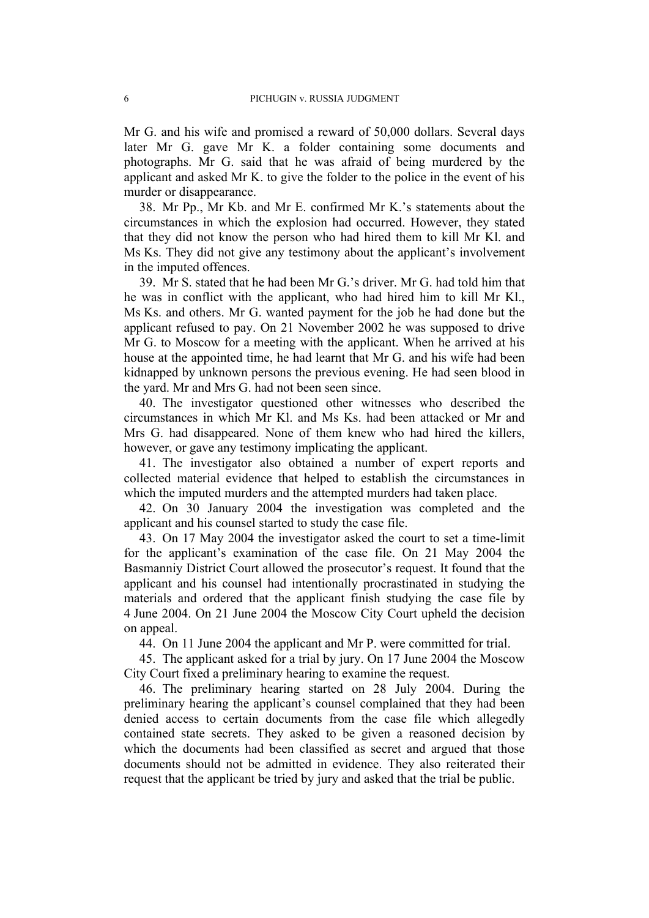Mr G. and his wife and promised a reward of 50,000 dollars. Several days later Mr G. gave Mr K. a folder containing some documents and photographs. Mr G. said that he was afraid of being murdered by the applicant and asked Mr K. to give the folder to the police in the event of his murder or disappearance.

38. Mr Pp., Mr Kb. and Mr E. confirmed Mr K.'s statements about the circumstances in which the explosion had occurred. However, they stated that they did not know the person who had hired them to kill Mr Kl. and Ms Ks. They did not give any testimony about the applicant's involvement in the imputed offences.

39. Mr S. stated that he had been Mr G.'s driver. Mr G. had told him that he was in conflict with the applicant, who had hired him to kill Mr Kl., Ms Ks. and others. Mr G. wanted payment for the job he had done but the applicant refused to pay. On 21 November 2002 he was supposed to drive Mr G. to Moscow for a meeting with the applicant. When he arrived at his house at the appointed time, he had learnt that Mr G. and his wife had been kidnapped by unknown persons the previous evening. He had seen blood in the yard. Mr and Mrs G. had not been seen since.

40. The investigator questioned other witnesses who described the circumstances in which Mr Kl. and Ms Ks. had been attacked or Mr and Mrs G. had disappeared. None of them knew who had hired the killers, however, or gave any testimony implicating the applicant.

41. The investigator also obtained a number of expert reports and collected material evidence that helped to establish the circumstances in which the imputed murders and the attempted murders had taken place.

42. On 30 January 2004 the investigation was completed and the applicant and his counsel started to study the case file.

43. On 17 May 2004 the investigator asked the court to set a time-limit for the applicant's examination of the case file. On 21 May 2004 the Basmanniy District Court allowed the prosecutor's request. It found that the applicant and his counsel had intentionally procrastinated in studying the materials and ordered that the applicant finish studying the case file by 4 June 2004. On 21 June 2004 the Moscow City Court upheld the decision on appeal.

44. On 11 June 2004 the applicant and Mr P. were committed for trial.

45. The applicant asked for a trial by jury. On 17 June 2004 the Moscow City Court fixed a preliminary hearing to examine the request.

46. The preliminary hearing started on 28 July 2004. During the preliminary hearing the applicant's counsel complained that they had been denied access to certain documents from the case file which allegedly contained state secrets. They asked to be given a reasoned decision by which the documents had been classified as secret and argued that those documents should not be admitted in evidence. They also reiterated their request that the applicant be tried by jury and asked that the trial be public.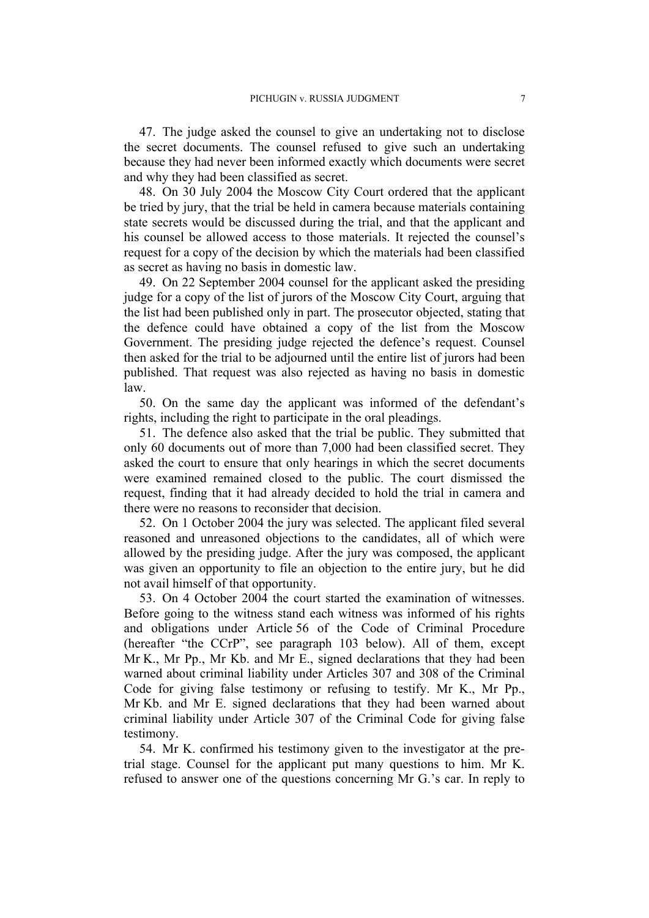47. The judge asked the counsel to give an undertaking not to disclose the secret documents. The counsel refused to give such an undertaking because they had never been informed exactly which documents were secret and why they had been classified as secret.

<span id="page-8-2"></span>48. On 30 July 2004 the Moscow City Court ordered that the applicant be tried by jury, that the trial be held in camera because materials containing state secrets would be discussed during the trial, and that the applicant and his counsel be allowed access to those materials. It rejected the counsel's request for a copy of the decision by which the materials had been classified as secret as having no basis in domestic law.

<span id="page-8-0"></span>49. On 22 September 2004 counsel for the applicant asked the presiding judge for a copy of the list of jurors of the Moscow City Court, arguing that the list had been published only in part. The prosecutor objected, stating that the defence could have obtained a copy of the list from the Moscow Government. The presiding judge rejected the defence's request. Counsel then asked for the trial to be adjourned until the entire list of jurors had been published. That request was also rejected as having no basis in domestic law.

50. On the same day the applicant was informed of the defendant's rights, including the right to participate in the oral pleadings.

<span id="page-8-3"></span>51. The defence also asked that the trial be public. They submitted that only 60 documents out of more than 7,000 had been classified secret. They asked the court to ensure that only hearings in which the secret documents were examined remained closed to the public. The court dismissed the request, finding that it had already decided to hold the trial in camera and there were no reasons to reconsider that decision.

<span id="page-8-1"></span>52. On 1 October 2004 the jury was selected. The applicant filed several reasoned and unreasoned objections to the candidates, all of which were allowed by the presiding judge. After the jury was composed, the applicant was given an opportunity to file an objection to the entire jury, but he did not avail himself of that opportunity.

<span id="page-8-4"></span>53. On 4 October 2004 the court started the examination of witnesses. Before going to the witness stand each witness was informed of his rights and obligations under Article 56 of the Code of Criminal Procedure (hereafter "the CCrP", see paragraph [103](#page-15-0) below). All of them, except Mr K., Mr Pp., Mr Kb. and Mr E., signed declarations that they had been warned about criminal liability under Articles 307 and 308 of the Criminal Code for giving false testimony or refusing to testify. Mr K., Mr Pp., Mr Kb. and Mr E. signed declarations that they had been warned about criminal liability under Article 307 of the Criminal Code for giving false testimony.

<span id="page-8-5"></span>54. Mr K. confirmed his testimony given to the investigator at the pretrial stage. Counsel for the applicant put many questions to him. Mr K. refused to answer one of the questions concerning Mr G.'s car. In reply to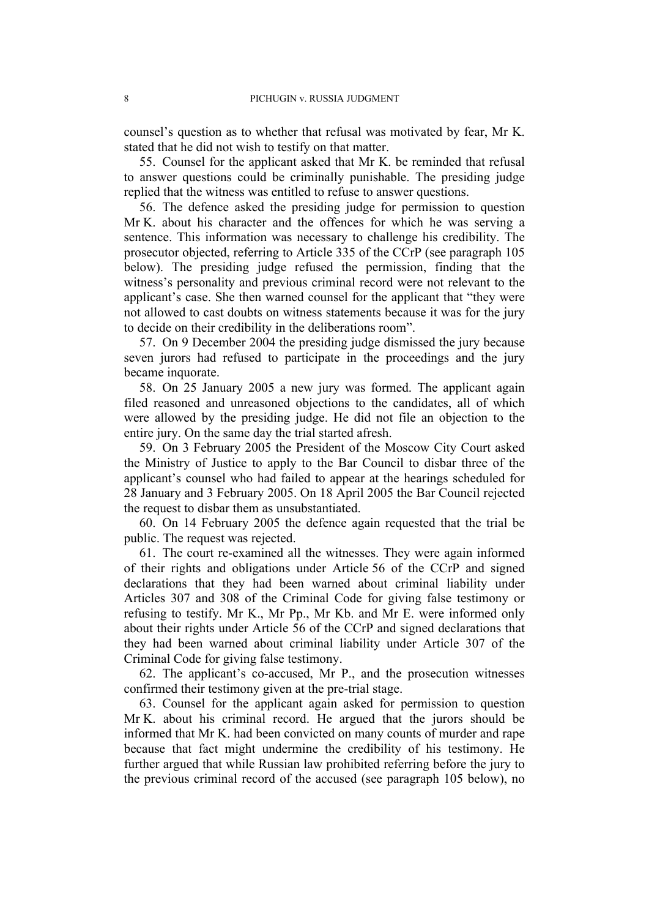counsel's question as to whether that refusal was motivated by fear, Mr K. stated that he did not wish to testify on that matter.

<span id="page-9-2"></span>55. Counsel for the applicant asked that Mr K. be reminded that refusal to answer questions could be criminally punishable. The presiding judge replied that the witness was entitled to refuse to answer questions.

<span id="page-9-3"></span>56. The defence asked the presiding judge for permission to question Mr K. about his character and the offences for which he was serving a sentence. This information was necessary to challenge his credibility. The prosecutor objected, referring to Article 335 of the CCrP (see paragraph [105](#page-15-1) below). The presiding judge refused the permission, finding that the witness's personality and previous criminal record were not relevant to the applicant's case. She then warned counsel for the applicant that "they were not allowed to cast doubts on witness statements because it was for the jury to decide on their credibility in the deliberations room".

57. On 9 December 2004 the presiding judge dismissed the jury because seven jurors had refused to participate in the proceedings and the jury became inquorate.

<span id="page-9-0"></span>58. On 25 January 2005 a new jury was formed. The applicant again filed reasoned and unreasoned objections to the candidates, all of which were allowed by the presiding judge. He did not file an objection to the entire jury. On the same day the trial started afresh.

59. On 3 February 2005 the President of the Moscow City Court asked the Ministry of Justice to apply to the Bar Council to disbar three of the applicant's counsel who had failed to appear at the hearings scheduled for 28 January and 3 February 2005. On 18 April 2005 the Bar Council rejected the request to disbar them as unsubstantiated.

60. On 14 February 2005 the defence again requested that the trial be public. The request was rejected.

<span id="page-9-1"></span>61. The court re-examined all the witnesses. They were again informed of their rights and obligations under Article 56 of the CCrP and signed declarations that they had been warned about criminal liability under Articles 307 and 308 of the Criminal Code for giving false testimony or refusing to testify. Mr K., Mr Pp., Mr Kb. and Mr E. were informed only about their rights under Article 56 of the CCrP and signed declarations that they had been warned about criminal liability under Article 307 of the Criminal Code for giving false testimony.

62. The applicant's co-accused, Mr P., and the prosecution witnesses confirmed their testimony given at the pre-trial stage.

<span id="page-9-4"></span>63. Counsel for the applicant again asked for permission to question Mr K. about his criminal record. He argued that the jurors should be informed that Mr K. had been convicted on many counts of murder and rape because that fact might undermine the credibility of his testimony. He further argued that while Russian law prohibited referring before the jury to the previous criminal record of the accused (see paragraph [105](#page-15-1) below), no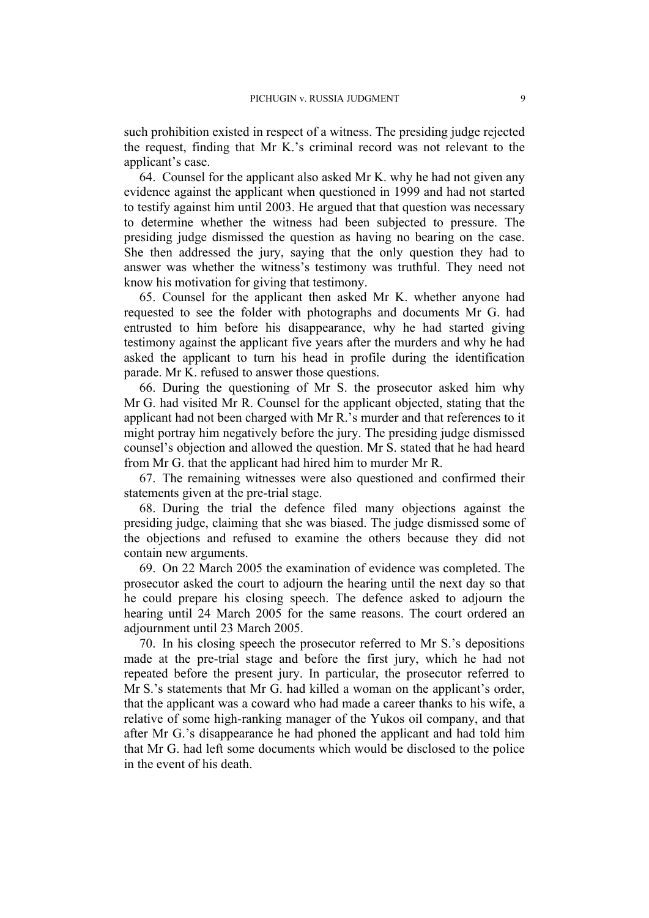such prohibition existed in respect of a witness. The presiding judge rejected the request, finding that Mr K.'s criminal record was not relevant to the applicant's case.

<span id="page-10-1"></span>64. Counsel for the applicant also asked Mr K. why he had not given any evidence against the applicant when questioned in 1999 and had not started to testify against him until 2003. He argued that that question was necessary to determine whether the witness had been subjected to pressure. The presiding judge dismissed the question as having no bearing on the case. She then addressed the jury, saying that the only question they had to answer was whether the witness's testimony was truthful. They need not know his motivation for giving that testimony.

<span id="page-10-0"></span>65. Counsel for the applicant then asked Mr K. whether anyone had requested to see the folder with photographs and documents Mr G. had entrusted to him before his disappearance, why he had started giving testimony against the applicant five years after the murders and why he had asked the applicant to turn his head in profile during the identification parade. Mr K. refused to answer those questions.

66. During the questioning of Mr S. the prosecutor asked him why Mr G. had visited Mr R. Counsel for the applicant objected, stating that the applicant had not been charged with Mr R.'s murder and that references to it might portray him negatively before the jury. The presiding judge dismissed counsel's objection and allowed the question. Mr S. stated that he had heard from Mr G. that the applicant had hired him to murder Mr R.

67. The remaining witnesses were also questioned and confirmed their statements given at the pre-trial stage.

68. During the trial the defence filed many objections against the presiding judge, claiming that she was biased. The judge dismissed some of the objections and refused to examine the others because they did not contain new arguments.

69. On 22 March 2005 the examination of evidence was completed. The prosecutor asked the court to adjourn the hearing until the next day so that he could prepare his closing speech. The defence asked to adjourn the hearing until 24 March 2005 for the same reasons. The court ordered an adjournment until 23 March 2005.

70. In his closing speech the prosecutor referred to Mr S.'s depositions made at the pre-trial stage and before the first jury, which he had not repeated before the present jury. In particular, the prosecutor referred to Mr S.'s statements that Mr G. had killed a woman on the applicant's order, that the applicant was a coward who had made a career thanks to his wife, a relative of some high-ranking manager of the Yukos oil company, and that after Mr G.'s disappearance he had phoned the applicant and had told him that Mr G. had left some documents which would be disclosed to the police in the event of his death.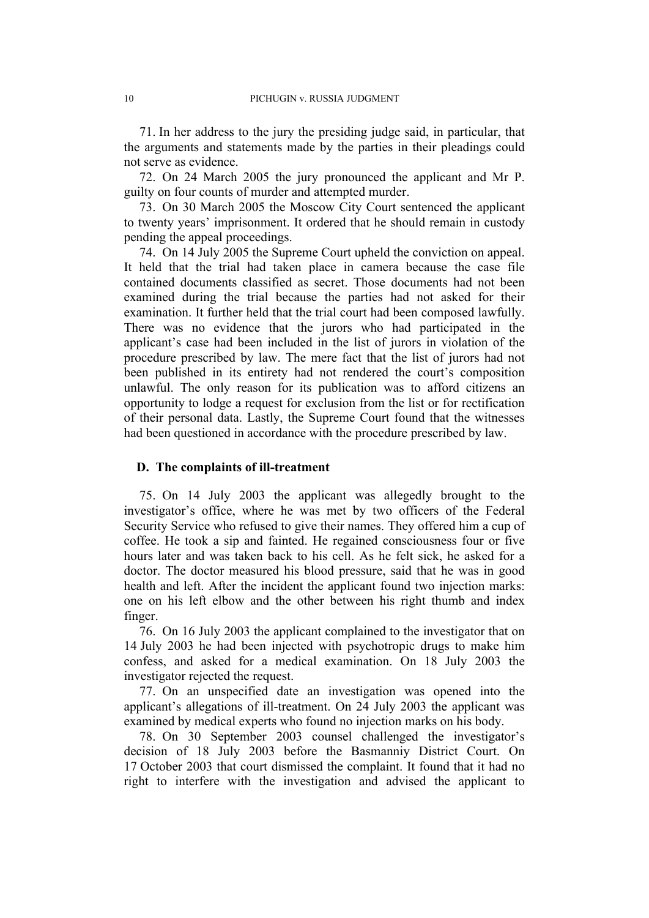71. In her address to the jury the presiding judge said, in particular, that the arguments and statements made by the parties in their pleadings could not serve as evidence.

72. On 24 March 2005 the jury pronounced the applicant and Mr P. guilty on four counts of murder and attempted murder.

73. On 30 March 2005 the Moscow City Court sentenced the applicant to twenty years' imprisonment. It ordered that he should remain in custody pending the appeal proceedings.

<span id="page-11-0"></span>74. On 14 July 2005 the Supreme Court upheld the conviction on appeal. It held that the trial had taken place in camera because the case file contained documents classified as secret. Those documents had not been examined during the trial because the parties had not asked for their examination. It further held that the trial court had been composed lawfully. There was no evidence that the jurors who had participated in the applicant's case had been included in the list of jurors in violation of the procedure prescribed by law. The mere fact that the list of jurors had not been published in its entirety had not rendered the court's composition unlawful. The only reason for its publication was to afford citizens an opportunity to lodge a request for exclusion from the list or for rectification of their personal data. Lastly, the Supreme Court found that the witnesses had been questioned in accordance with the procedure prescribed by law.

#### **D. The complaints of ill-treatment**

75. On 14 July 2003 the applicant was allegedly brought to the investigator's office, where he was met by two officers of the Federal Security Service who refused to give their names. They offered him a cup of coffee. He took a sip and fainted. He regained consciousness four or five hours later and was taken back to his cell. As he felt sick, he asked for a doctor. The doctor measured his blood pressure, said that he was in good health and left. After the incident the applicant found two injection marks: one on his left elbow and the other between his right thumb and index finger.

76. On 16 July 2003 the applicant complained to the investigator that on 14 July 2003 he had been injected with psychotropic drugs to make him confess, and asked for a medical examination. On 18 July 2003 the investigator rejected the request.

77. On an unspecified date an investigation was opened into the applicant's allegations of ill-treatment. On 24 July 2003 the applicant was examined by medical experts who found no injection marks on his body.

78. On 30 September 2003 counsel challenged the investigator's decision of 18 July 2003 before the Basmanniy District Court. On 17 October 2003 that court dismissed the complaint. It found that it had no right to interfere with the investigation and advised the applicant to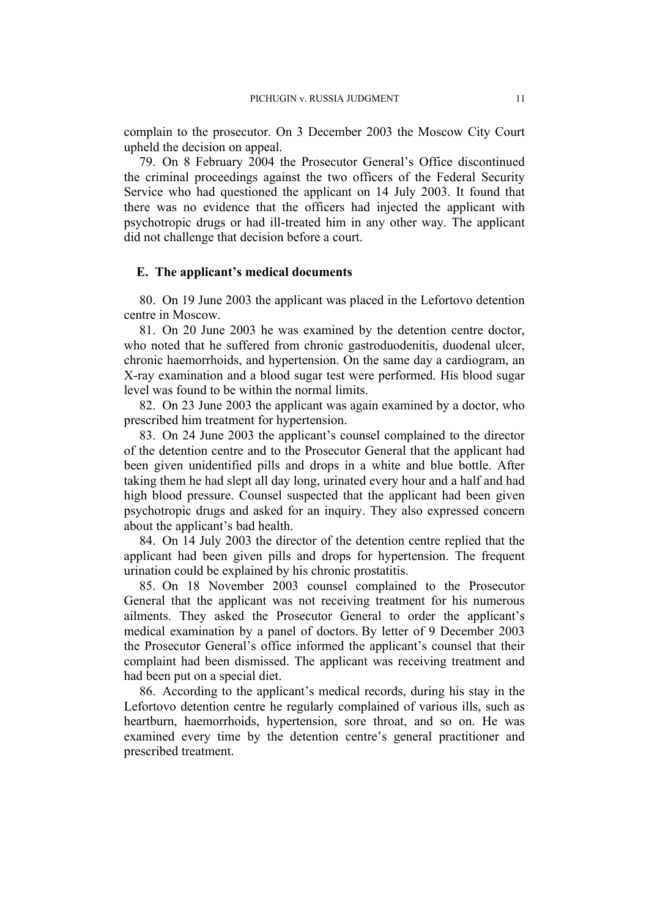complain to the prosecutor. On 3 December 2003 the Moscow City Court upheld the decision on appeal.

79. On 8 February 2004 the Prosecutor General's Office discontinued the criminal proceedings against the two officers of the Federal Security Service who had questioned the applicant on 14 July 2003. It found that there was no evidence that the officers had injected the applicant with psychotropic drugs or had ill-treated him in any other way. The applicant did not challenge that decision before a court.

#### **E. The applicant's medical documents**

80. On 19 June 2003 the applicant was placed in the Lefortovo detention centre in Moscow.

81. On 20 June 2003 he was examined by the detention centre doctor, who noted that he suffered from chronic gastroduodenitis, duodenal ulcer, chronic haemorrhoids, and hypertension. On the same day a cardiogram, an X-ray examination and a blood sugar test were performed. His blood sugar level was found to be within the normal limits.

82. On 23 June 2003 the applicant was again examined by a doctor, who prescribed him treatment for hypertension.

83. On 24 June 2003 the applicant's counsel complained to the director of the detention centre and to the Prosecutor General that the applicant had been given unidentified pills and drops in a white and blue bottle. After taking them he had slept all day long, urinated every hour and a half and had high blood pressure. Counsel suspected that the applicant had been given psychotropic drugs and asked for an inquiry. They also expressed concern about the applicant's bad health.

84. On 14 July 2003 the director of the detention centre replied that the applicant had been given pills and drops for hypertension. The frequent urination could be explained by his chronic prostatitis.

85. On 18 November 2003 counsel complained to the Prosecutor General that the applicant was not receiving treatment for his numerous ailments. They asked the Prosecutor General to order the applicant's medical examination by a panel of doctors. By letter of 9 December 2003 the Prosecutor General's office informed the applicant's counsel that their complaint had been dismissed. The applicant was receiving treatment and had been put on a special diet.

86. According to the applicant's medical records, during his stay in the Lefortovo detention centre he regularly complained of various ills, such as heartburn, haemorrhoids, hypertension, sore throat, and so on. He was examined every time by the detention centre's general practitioner and prescribed treatment.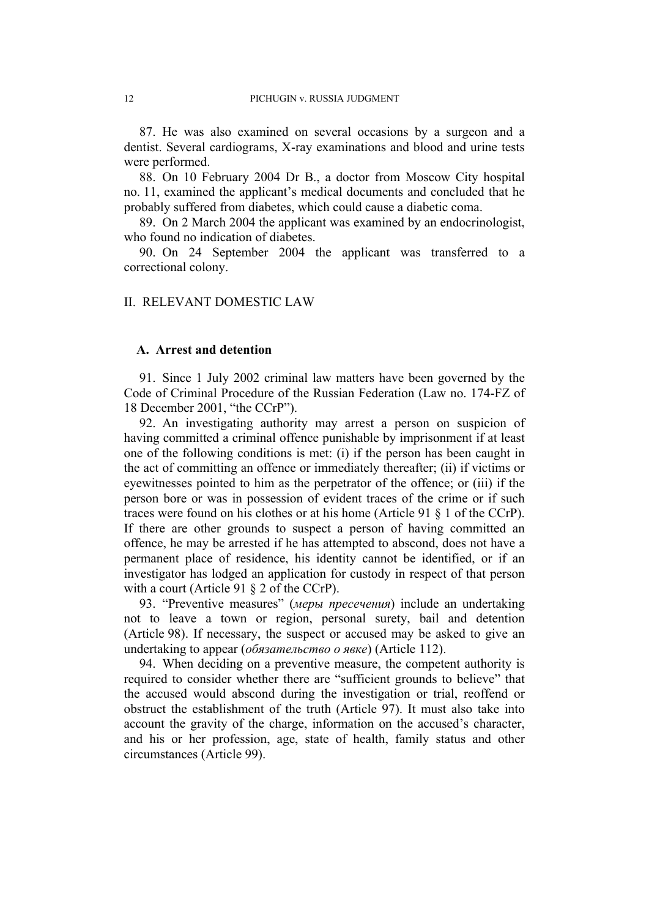87. He was also examined on several occasions by a surgeon and a dentist. Several cardiograms, X-ray examinations and blood and urine tests were performed.

88. On 10 February 2004 Dr B., a doctor from Moscow City hospital no. 11, examined the applicant's medical documents and concluded that he probably suffered from diabetes, which could cause a diabetic coma.

89. On 2 March 2004 the applicant was examined by an endocrinologist, who found no indication of diabetes.

90. On 24 September 2004 the applicant was transferred to a correctional colony.

#### II. RELEVANT DOMESTIC LAW

#### **A. Arrest and detention**

91. Since 1 July 2002 criminal law matters have been governed by the Code of Criminal Procedure of the Russian Federation (Law no. 174-FZ of 18 December 2001, "the CCrP").

<span id="page-13-0"></span>92. An investigating authority may arrest a person on suspicion of having committed a criminal offence punishable by imprisonment if at least one of the following conditions is met: (i) if the person has been caught in the act of committing an offence or immediately thereafter; (ii) if victims or eyewitnesses pointed to him as the perpetrator of the offence; or (iii) if the person bore or was in possession of evident traces of the crime or if such traces were found on his clothes or at his home (Article 91 § 1 of the CCrP). If there are other grounds to suspect a person of having committed an offence, he may be arrested if he has attempted to abscond, does not have a permanent place of residence, his identity cannot be identified, or if an investigator has lodged an application for custody in respect of that person with a court (Article 91  $\S$  2 of the CCrP).

93. "Preventive measures" (*меры пресечения*) include an undertaking not to leave a town or region, personal surety, bail and detention (Article 98). If necessary, the suspect or accused may be asked to give an undertaking to appear (*обязательство о явке*) (Article 112).

94. When deciding on a preventive measure, the competent authority is required to consider whether there are "sufficient grounds to believe" that the accused would abscond during the investigation or trial, reoffend or obstruct the establishment of the truth (Article 97). It must also take into account the gravity of the charge, information on the accused's character, and his or her profession, age, state of health, family status and other circumstances (Article 99).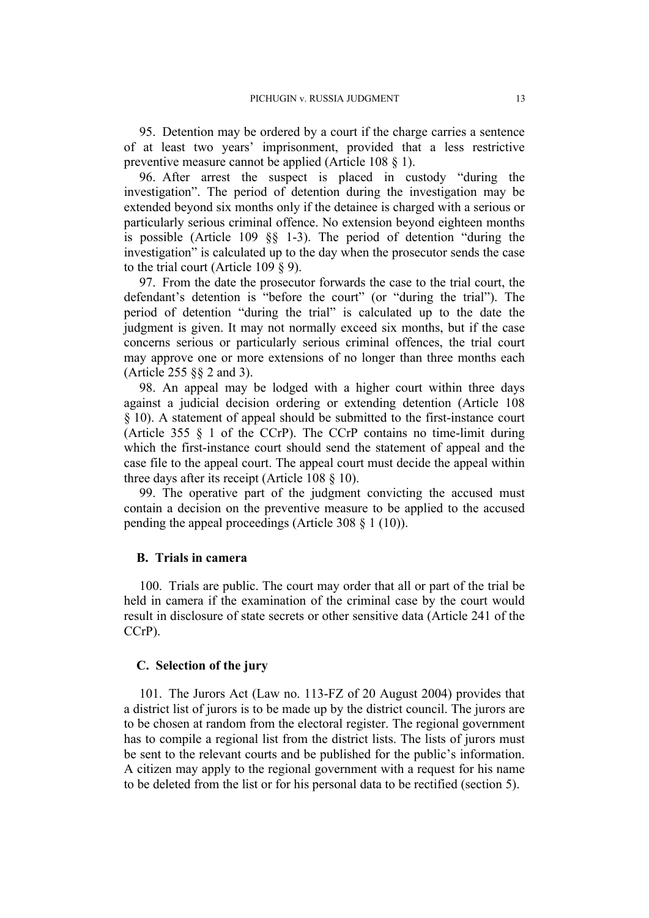95. Detention may be ordered by a court if the charge carries a sentence of at least two years' imprisonment, provided that a less restrictive preventive measure cannot be applied (Article 108 § 1).

96. After arrest the suspect is placed in custody "during the investigation". The period of detention during the investigation may be extended beyond six months only if the detainee is charged with a serious or particularly serious criminal offence. No extension beyond eighteen months is possible (Article 109 §§ 1-3). The period of detention "during the investigation" is calculated up to the day when the prosecutor sends the case to the trial court (Article 109  $\S$  9).

97. From the date the prosecutor forwards the case to the trial court, the defendant's detention is "before the court" (or "during the trial"). The period of detention "during the trial" is calculated up to the date the judgment is given. It may not normally exceed six months, but if the case concerns serious or particularly serious criminal offences, the trial court may approve one or more extensions of no longer than three months each (Article 255 §§ 2 and 3).

98. An appeal may be lodged with a higher court within three days against a judicial decision ordering or extending detention (Article 108 § 10). A statement of appeal should be submitted to the first-instance court (Article 355 § 1 of the CCrP). The CCrP contains no time-limit during which the first-instance court should send the statement of appeal and the case file to the appeal court. The appeal court must decide the appeal within three days after its receipt (Article 108 § 10).

<span id="page-14-0"></span>99. The operative part of the judgment convicting the accused must contain a decision on the preventive measure to be applied to the accused pending the appeal proceedings (Article 308 § 1 (10)).

### **B. Trials in camera**

100. Trials are public. The court may order that all or part of the trial be held in camera if the examination of the criminal case by the court would result in disclosure of state secrets or other sensitive data (Article 241 of the CCrP).

## **C. Selection of the jury**

101. The Jurors Act (Law no. 113-FZ of 20 August 2004) provides that a district list of jurors is to be made up by the district council. The jurors are to be chosen at random from the electoral register. The regional government has to compile a regional list from the district lists. The lists of jurors must be sent to the relevant courts and be published for the public's information. A citizen may apply to the regional government with a request for his name to be deleted from the list or for his personal data to be rectified (section 5).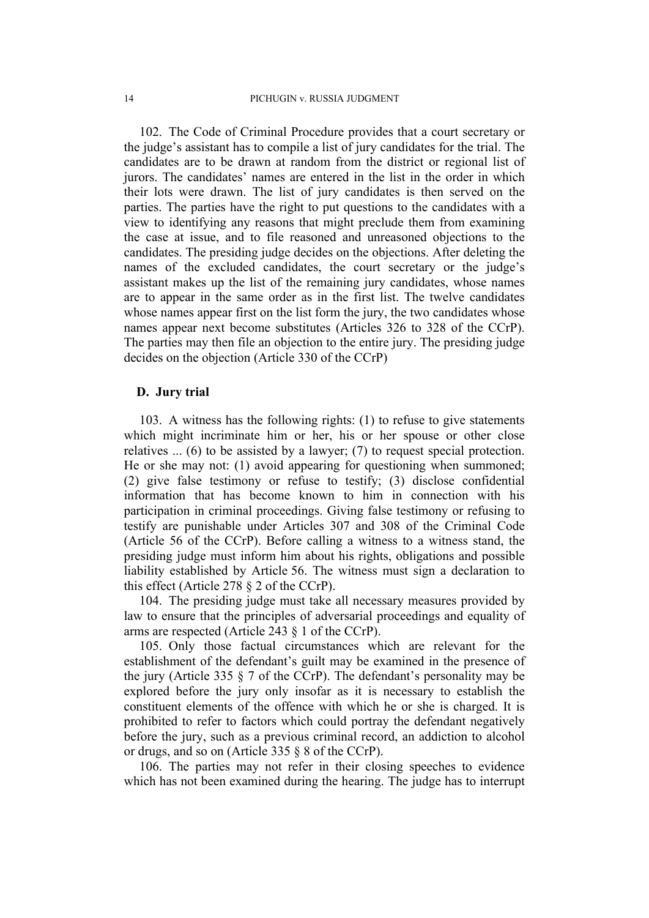<span id="page-15-3"></span>102. The Code of Criminal Procedure provides that a court secretary or the judge's assistant has to compile a list of jury candidates for the trial. The candidates are to be drawn at random from the district or regional list of jurors. The candidates' names are entered in the list in the order in which their lots were drawn. The list of jury candidates is then served on the parties. The parties have the right to put questions to the candidates with a view to identifying any reasons that might preclude them from examining the case at issue, and to file reasoned and unreasoned objections to the candidates. The presiding judge decides on the objections. After deleting the names of the excluded candidates, the court secretary or the judge's assistant makes up the list of the remaining jury candidates, whose names are to appear in the same order as in the first list. The twelve candidates whose names appear first on the list form the jury, the two candidates whose names appear next become substitutes (Articles 326 to 328 of the CCrP). The parties may then file an objection to the entire jury. The presiding judge decides on the objection (Article 330 of the CCrP)

#### **D. Jury trial**

<span id="page-15-0"></span>103. A witness has the following rights: (1) to refuse to give statements which might incriminate him or her, his or her spouse or other close relatives ... (6) to be assisted by a lawyer; (7) to request special protection. He or she may not: (1) avoid appearing for questioning when summoned; (2) give false testimony or refuse to testify; (3) disclose confidential information that has become known to him in connection with his participation in criminal proceedings. Giving false testimony or refusing to testify are punishable under Articles 307 and 308 of the Criminal Code (Article 56 of the CCrP). Before calling a witness to a witness stand, the presiding judge must inform him about his rights, obligations and possible liability established by Article 56. The witness must sign a declaration to this effect (Article 278 § 2 of the CCrP).

<span id="page-15-4"></span>104. The presiding judge must take all necessary measures provided by law to ensure that the principles of adversarial proceedings and equality of arms are respected (Article 243 § 1 of the CCrP).

<span id="page-15-1"></span>105. Only those factual circumstances which are relevant for the establishment of the defendant's guilt may be examined in the presence of the jury (Article 335 § 7 of the CCrP). The defendant's personality may be explored before the jury only insofar as it is necessary to establish the constituent elements of the offence with which he or she is charged. It is prohibited to refer to factors which could portray the defendant negatively before the jury, such as a previous criminal record, an addiction to alcohol or drugs, and so on (Article 335 § 8 of the CCrP).

<span id="page-15-2"></span>106. The parties may not refer in their closing speeches to evidence which has not been examined during the hearing. The judge has to interrupt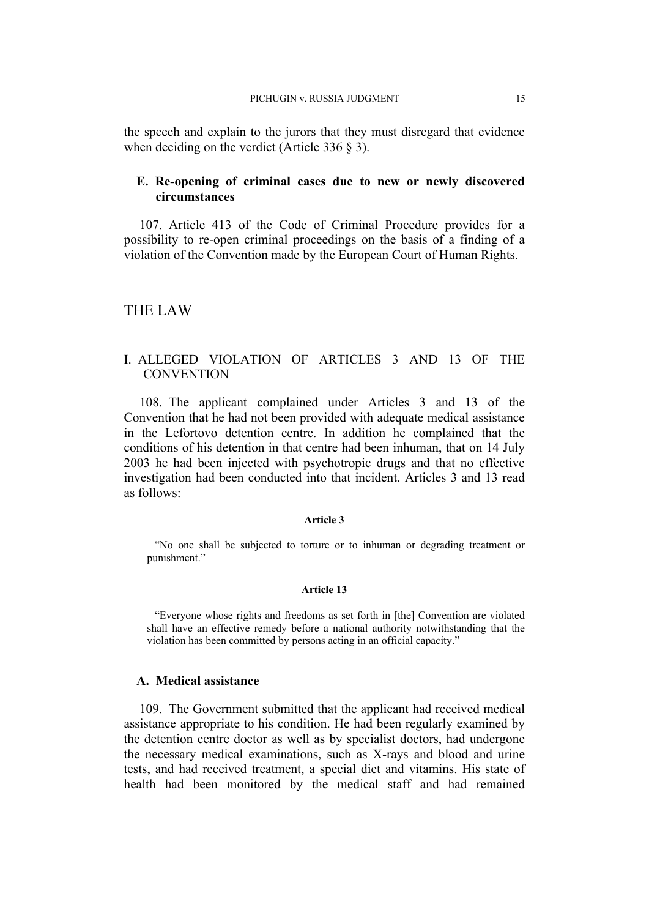the speech and explain to the jurors that they must disregard that evidence when deciding on the verdict (Article 336 § 3).

# **E. Re-opening of criminal cases due to new or newly discovered circumstances**

<span id="page-16-0"></span>107. Article 413 of the Code of Criminal Procedure provides for a possibility to re-open criminal proceedings on the basis of a finding of a violation of the Convention made by the European Court of Human Rights.

# THE LAW

# I. ALLEGED VIOLATION OF ARTICLES 3 AND 13 OF THE **CONVENTION**

108. The applicant complained under Articles 3 and 13 of the Convention that he had not been provided with adequate medical assistance in the Lefortovo detention centre. In addition he complained that the conditions of his detention in that centre had been inhuman, that on 14 July 2003 he had been injected with psychotropic drugs and that no effective investigation had been conducted into that incident. Articles 3 and 13 read as follows:

#### **Article 3**

"No one shall be subjected to torture or to inhuman or degrading treatment or punishment."

#### **Article 13**

"Everyone whose rights and freedoms as set forth in [the] Convention are violated shall have an effective remedy before a national authority notwithstanding that the violation has been committed by persons acting in an official capacity."

#### **A. Medical assistance**

109. The Government submitted that the applicant had received medical assistance appropriate to his condition. He had been regularly examined by the detention centre doctor as well as by specialist doctors, had undergone the necessary medical examinations, such as X-rays and blood and urine tests, and had received treatment, a special diet and vitamins. His state of health had been monitored by the medical staff and had remained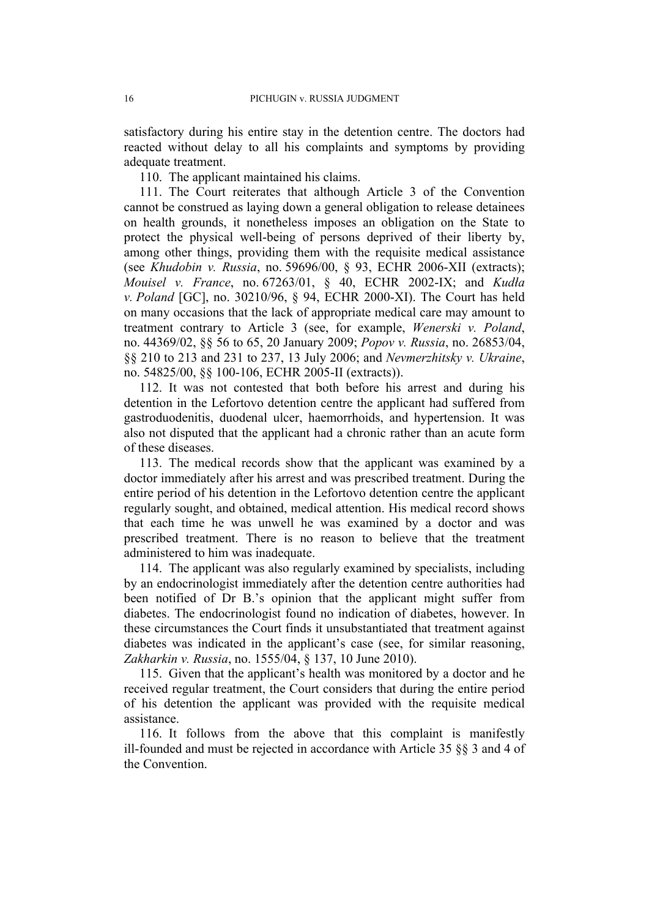satisfactory during his entire stay in the detention centre. The doctors had reacted without delay to all his complaints and symptoms by providing adequate treatment.

110. The applicant maintained his claims.

111. The Court reiterates that although Article 3 of the Convention cannot be construed as laying down a general obligation to release detainees on health grounds, it nonetheless imposes an obligation on the State to protect the physical well-being of persons deprived of their liberty by, among other things, providing them with the requisite medical assistance (see *Khudobin v. Russia*, no. 59696/00, § 93, ECHR 2006-XII (extracts); *Mouisel v. France*, no. 67263/01, § 40, ECHR 2002-IX; and *Kudła v. Poland* [GC], no. 30210/96, § 94, ECHR 2000-XI). The Court has held on many occasions that the lack of appropriate medical care may amount to treatment contrary to Article 3 (see, for example, *Wenerski v. Poland*, no. 44369/02, §§ 56 to 65, 20 January 2009; *Popov v. Russia*, no. 26853/04, §§ 210 to 213 and 231 to 237, 13 July 2006; and *Nevmerzhitsky v. Ukraine*, no. 54825/00, §§ 100-106, ECHR 2005-II (extracts)).

112. It was not contested that both before his arrest and during his detention in the Lefortovo detention centre the applicant had suffered from gastroduodenitis, duodenal ulcer, haemorrhoids, and hypertension. It was also not disputed that the applicant had a chronic rather than an acute form of these diseases.

113. The medical records show that the applicant was examined by a doctor immediately after his arrest and was prescribed treatment. During the entire period of his detention in the Lefortovo detention centre the applicant regularly sought, and obtained, medical attention. His medical record shows that each time he was unwell he was examined by a doctor and was prescribed treatment. There is no reason to believe that the treatment administered to him was inadequate.

114. The applicant was also regularly examined by specialists, including by an endocrinologist immediately after the detention centre authorities had been notified of Dr B.'s opinion that the applicant might suffer from diabetes. The endocrinologist found no indication of diabetes, however. In these circumstances the Court finds it unsubstantiated that treatment against diabetes was indicated in the applicant's case (see, for similar reasoning, *Zakharkin v. Russia*, no. 1555/04, § 137, 10 June 2010).

115. Given that the applicant's health was monitored by a doctor and he received regular treatment, the Court considers that during the entire period of his detention the applicant was provided with the requisite medical assistance.

116. It follows from the above that this complaint is manifestly ill-founded and must be rejected in accordance with Article 35 §§ 3 and 4 of the Convention.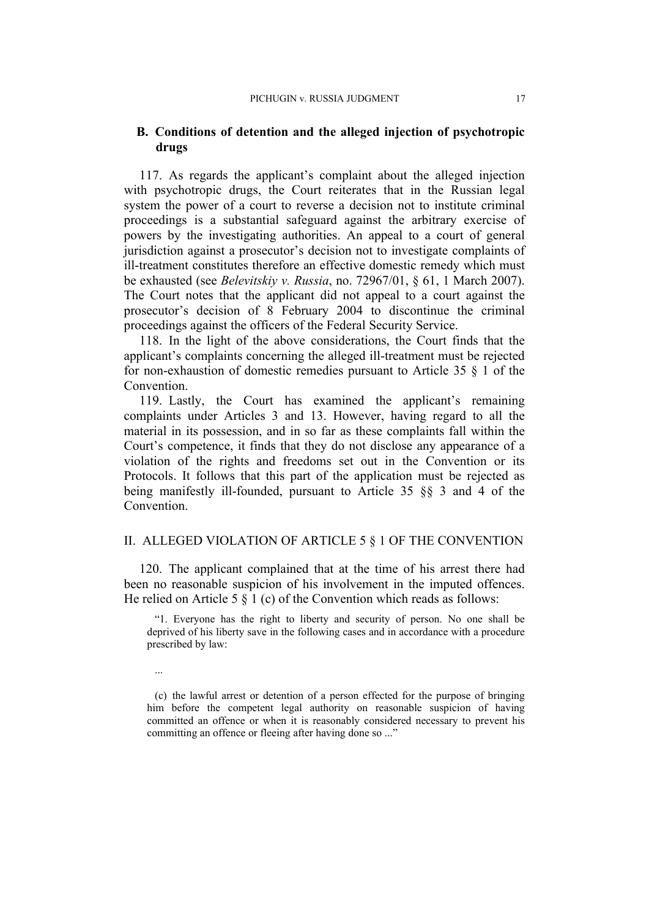## **B. Conditions of detention and the alleged injection of psychotropic drugs**

117. As regards the applicant's complaint about the alleged injection with psychotropic drugs, the Court reiterates that in the Russian legal system the power of a court to reverse a decision not to institute criminal proceedings is a substantial safeguard against the arbitrary exercise of powers by the investigating authorities. An appeal to a court of general jurisdiction against a prosecutor's decision not to investigate complaints of ill-treatment constitutes therefore an effective domestic remedy which must be exhausted (see *Belevitskiy v. Russia*, no. 72967/01, § 61, 1 March 2007). The Court notes that the applicant did not appeal to a court against the prosecutor's decision of 8 February 2004 to discontinue the criminal proceedings against the officers of the Federal Security Service.

118. In the light of the above considerations, the Court finds that the applicant's complaints concerning the alleged ill-treatment must be rejected for non-exhaustion of domestic remedies pursuant to Article 35 § 1 of the Convention.

119. Lastly, the Court has examined the applicant's remaining complaints under Articles 3 and 13. However, having regard to all the material in its possession, and in so far as these complaints fall within the Court's competence, it finds that they do not disclose any appearance of a violation of the rights and freedoms set out in the Convention or its Protocols. It follows that this part of the application must be rejected as being manifestly ill-founded, pursuant to Article 35 §§ 3 and 4 of the Convention.

#### II. ALLEGED VIOLATION OF ARTICLE 5 § 1 OF THE CONVENTION

120. The applicant complained that at the time of his arrest there had been no reasonable suspicion of his involvement in the imputed offences. He relied on Article 5  $\S$  1 (c) of the Convention which reads as follows:

"1. Everyone has the right to liberty and security of person. No one shall be deprived of his liberty save in the following cases and in accordance with a procedure prescribed by law:

...

(c) the lawful arrest or detention of a person effected for the purpose of bringing him before the competent legal authority on reasonable suspicion of having committed an offence or when it is reasonably considered necessary to prevent his committing an offence or fleeing after having done so ..."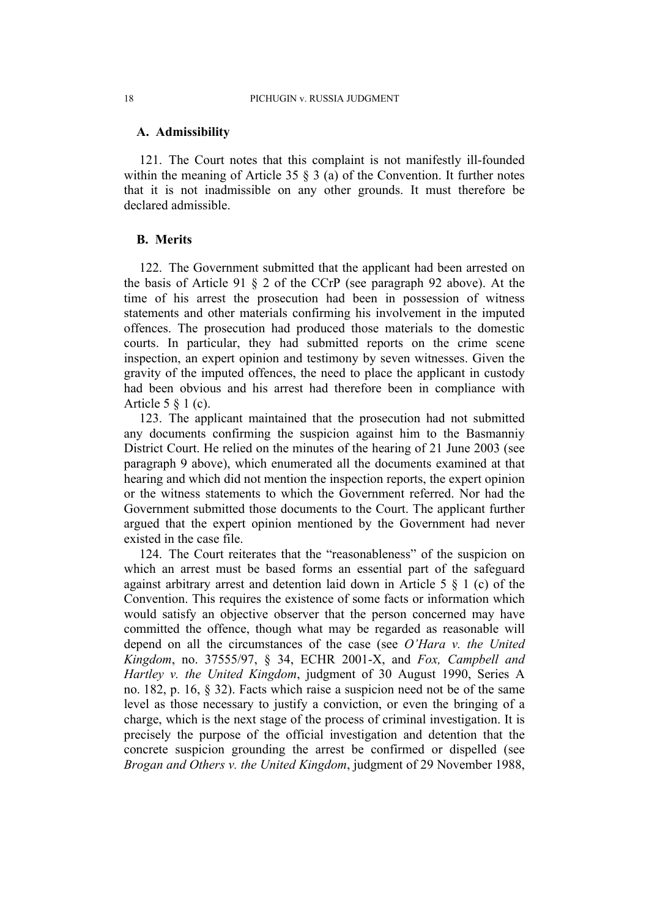#### **A. Admissibility**

121. The Court notes that this complaint is not manifestly ill-founded within the meaning of Article 35  $\S$  3 (a) of the Convention. It further notes that it is not inadmissible on any other grounds. It must therefore be declared admissible.

# **B. Merits**

<span id="page-19-0"></span>122. The Government submitted that the applicant had been arrested on the basis of Article 91 § 2 of the CCrP (see paragraph [92](#page-13-0) above). At the time of his arrest the prosecution had been in possession of witness statements and other materials confirming his involvement in the imputed offences. The prosecution had produced those materials to the domestic courts. In particular, they had submitted reports on the crime scene inspection, an expert opinion and testimony by seven witnesses. Given the gravity of the imputed offences, the need to place the applicant in custody had been obvious and his arrest had therefore been in compliance with Article 5 § 1 (c).

123. The applicant maintained that the prosecution had not submitted any documents confirming the suspicion against him to the Basmanniy District Court. He relied on the minutes of the hearing of 21 June 2003 (see paragraph [9](#page-3-0) above), which enumerated all the documents examined at that hearing and which did not mention the inspection reports, the expert opinion or the witness statements to which the Government referred. Nor had the Government submitted those documents to the Court. The applicant further argued that the expert opinion mentioned by the Government had never existed in the case file.

124. The Court reiterates that the "reasonableness" of the suspicion on which an arrest must be based forms an essential part of the safeguard against arbitrary arrest and detention laid down in Article 5 § 1 (c) of the Convention. This requires the existence of some facts or information which would satisfy an objective observer that the person concerned may have committed the offence, though what may be regarded as reasonable will depend on all the circumstances of the case (see *O'Hara v. the United Kingdom*, no. 37555/97, § 34, ECHR 2001-X, and *Fox, Campbell and Hartley v. the United Kingdom*, judgment of 30 August 1990, Series A no. 182, p. 16, § 32). Facts which raise a suspicion need not be of the same level as those necessary to justify a conviction, or even the bringing of a charge, which is the next stage of the process of criminal investigation. It is precisely the purpose of the official investigation and detention that the concrete suspicion grounding the arrest be confirmed or dispelled (see *Brogan and Others v. the United Kingdom*, judgment of 29 November 1988,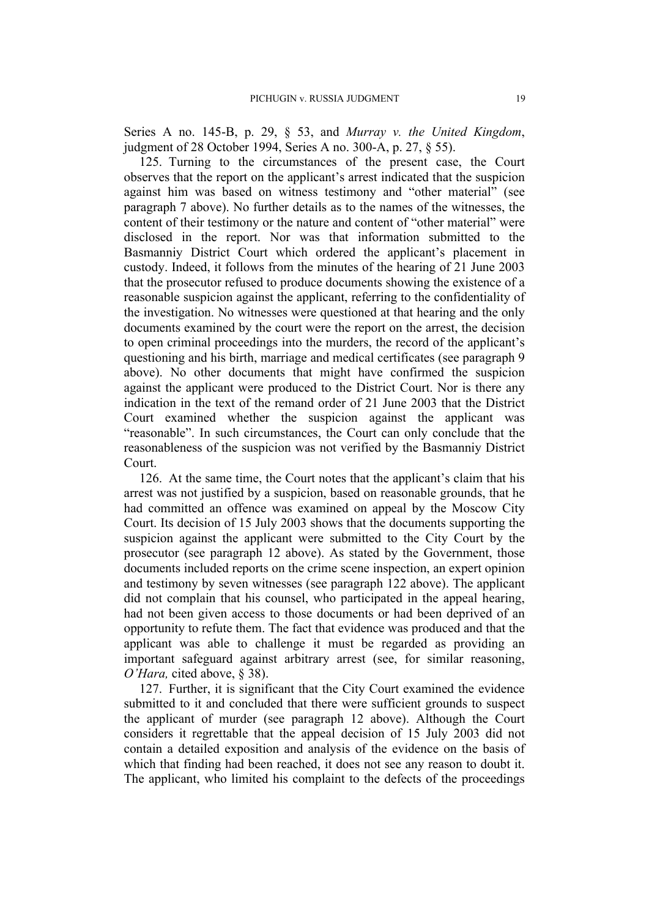Series A no. 145-B, p. 29, § 53, and *Murray v. the United Kingdom*, judgment of 28 October 1994, Series A no. 300-A, p. 27, § 55).

125. Turning to the circumstances of the present case, the Court observes that the report on the applicant's arrest indicated that the suspicion against him was based on witness testimony and "other material" (see paragraph [7](#page-3-1) above). No further details as to the names of the witnesses, the content of their testimony or the nature and content of "other material" were disclosed in the report. Nor was that information submitted to the Basmanniy District Court which ordered the applicant's placement in custody. Indeed, it follows from the minutes of the hearing of 21 June 2003 that the prosecutor refused to produce documents showing the existence of a reasonable suspicion against the applicant, referring to the confidentiality of the investigation. No witnesses were questioned at that hearing and the only documents examined by the court were the report on the arrest, the decision to open criminal proceedings into the murders, the record of the applicant's questioning and his birth, marriage and medical certificates (see paragraph [9](#page-3-0) above). No other documents that might have confirmed the suspicion against the applicant were produced to the District Court. Nor is there any indication in the text of the remand order of 21 June 2003 that the District Court examined whether the suspicion against the applicant was "reasonable". In such circumstances, the Court can only conclude that the reasonableness of the suspicion was not verified by the Basmanniy District Court.

126. At the same time, the Court notes that the applicant's claim that his arrest was not justified by a suspicion, based on reasonable grounds, that he had committed an offence was examined on appeal by the Moscow City Court. Its decision of 15 July 2003 shows that the documents supporting the suspicion against the applicant were submitted to the City Court by the prosecutor (see paragraph [12](#page-3-2) above). As stated by the Government, those documents included reports on the crime scene inspection, an expert opinion and testimony by seven witnesses (see paragraph [122](#page-19-0) above). The applicant did not complain that his counsel, who participated in the appeal hearing, had not been given access to those documents or had been deprived of an opportunity to refute them. The fact that evidence was produced and that the applicant was able to challenge it must be regarded as providing an important safeguard against arbitrary arrest (see, for similar reasoning, *O'Hara,* cited above, § 38).

127. Further, it is significant that the City Court examined the evidence submitted to it and concluded that there were sufficient grounds to suspect the applicant of murder (see paragraph [12](#page-3-2) above). Although the Court considers it regrettable that the appeal decision of 15 July 2003 did not contain a detailed exposition and analysis of the evidence on the basis of which that finding had been reached, it does not see any reason to doubt it. The applicant, who limited his complaint to the defects of the proceedings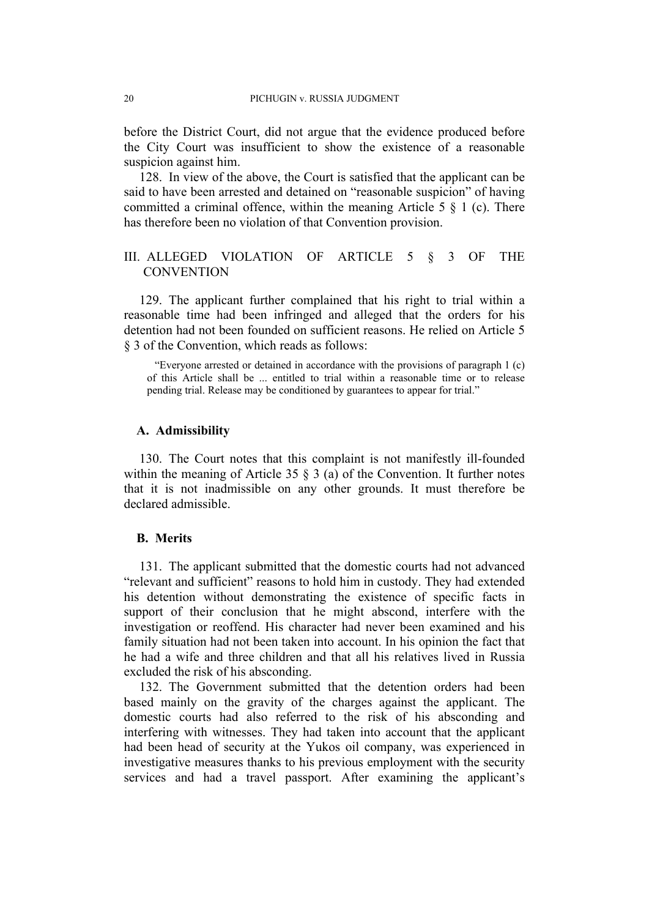before the District Court, did not argue that the evidence produced before the City Court was insufficient to show the existence of a reasonable suspicion against him.

<span id="page-21-0"></span>128. In view of the above, the Court is satisfied that the applicant can be said to have been arrested and detained on "reasonable suspicion" of having committed a criminal offence, within the meaning Article 5  $\S$  1 (c). There has therefore been no violation of that Convention provision.

# III. ALLEGED VIOLATION OF ARTICLE 5 § 3 OF THE **CONVENTION**

129. The applicant further complained that his right to trial within a reasonable time had been infringed and alleged that the orders for his detention had not been founded on sufficient reasons. He relied on Article 5 § 3 of the Convention, which reads as follows:

"Everyone arrested or detained in accordance with the provisions of paragraph 1 (c) of this Article shall be ... entitled to trial within a reasonable time or to release pending trial. Release may be conditioned by guarantees to appear for trial."

### **A. Admissibility**

130. The Court notes that this complaint is not manifestly ill-founded within the meaning of Article 35  $\frac{8}{3}$  (a) of the Convention. It further notes that it is not inadmissible on any other grounds. It must therefore be declared admissible.

#### **B. Merits**

131. The applicant submitted that the domestic courts had not advanced "relevant and sufficient" reasons to hold him in custody. They had extended his detention without demonstrating the existence of specific facts in support of their conclusion that he might abscond, interfere with the investigation or reoffend. His character had never been examined and his family situation had not been taken into account. In his opinion the fact that he had a wife and three children and that all his relatives lived in Russia excluded the risk of his absconding.

132. The Government submitted that the detention orders had been based mainly on the gravity of the charges against the applicant. The domestic courts had also referred to the risk of his absconding and interfering with witnesses. They had taken into account that the applicant had been head of security at the Yukos oil company, was experienced in investigative measures thanks to his previous employment with the security services and had a travel passport. After examining the applicant's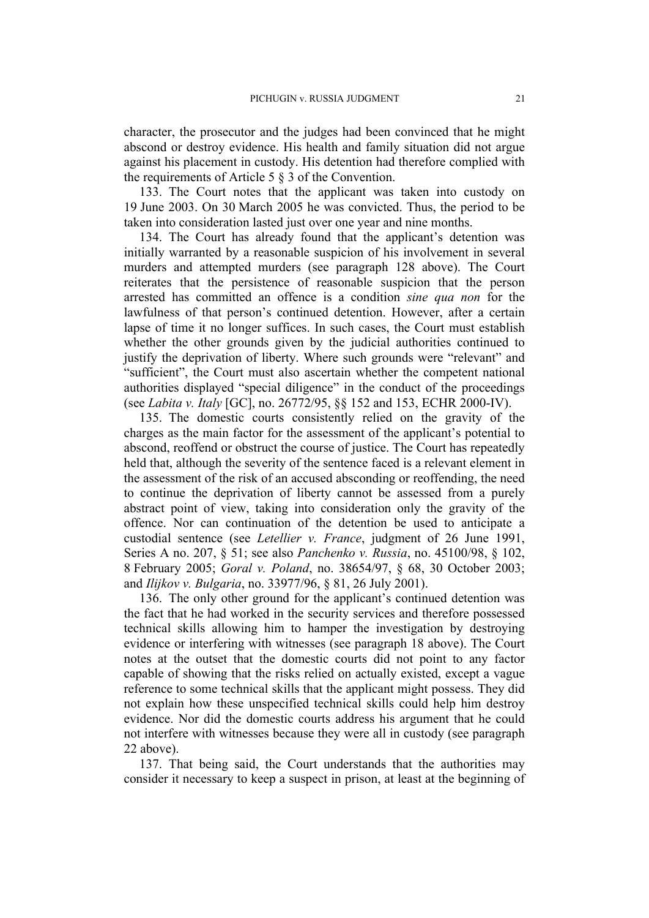character, the prosecutor and the judges had been convinced that he might abscond or destroy evidence. His health and family situation did not argue against his placement in custody. His detention had therefore complied with the requirements of Article 5 § 3 of the Convention.

133. The Court notes that the applicant was taken into custody on 19 June 2003. On 30 March 2005 he was convicted. Thus, the period to be taken into consideration lasted just over one year and nine months.

134. The Court has already found that the applicant's detention was initially warranted by a reasonable suspicion of his involvement in several murders and attempted murders (see paragraph [128](#page-21-0) above). The Court reiterates that the persistence of reasonable suspicion that the person arrested has committed an offence is a condition *sine qua non* for the lawfulness of that person's continued detention. However, after a certain lapse of time it no longer suffices. In such cases, the Court must establish whether the other grounds given by the judicial authorities continued to justify the deprivation of liberty. Where such grounds were "relevant" and "sufficient", the Court must also ascertain whether the competent national authorities displayed "special diligence" in the conduct of the proceedings (see *Labita v. Italy* [GC], no. 26772/95, §§ 152 and 153, ECHR 2000-IV).

135. The domestic courts consistently relied on the gravity of the charges as the main factor for the assessment of the applicant's potential to abscond, reoffend or obstruct the course of justice. The Court has repeatedly held that, although the severity of the sentence faced is a relevant element in the assessment of the risk of an accused absconding or reoffending, the need to continue the deprivation of liberty cannot be assessed from a purely abstract point of view, taking into consideration only the gravity of the offence. Nor can continuation of the detention be used to anticipate a custodial sentence (see *Letellier v. France*, judgment of 26 June 1991, Series A no. 207, § 51; see also *Panchenko v. Russia*, no. 45100/98, § 102, 8 February 2005; *Goral v. Poland*, no. 38654/97, § 68, 30 October 2003; and *Ilijkov v. Bulgaria*, no. 33977/96, § 81, 26 July 2001).

136. The only other ground for the applicant's continued detention was the fact that he had worked in the security services and therefore possessed technical skills allowing him to hamper the investigation by destroying evidence or interfering with witnesses (see paragraph [18](#page-4-0) above). The Court notes at the outset that the domestic courts did not point to any factor capable of showing that the risks relied on actually existed, except a vague reference to some technical skills that the applicant might possess. They did not explain how these unspecified technical skills could help him destroy evidence. Nor did the domestic courts address his argument that he could not interfere with witnesses because they were all in custody (see paragraph [22](#page-5-0) above).

137. That being said, the Court understands that the authorities may consider it necessary to keep a suspect in prison, at least at the beginning of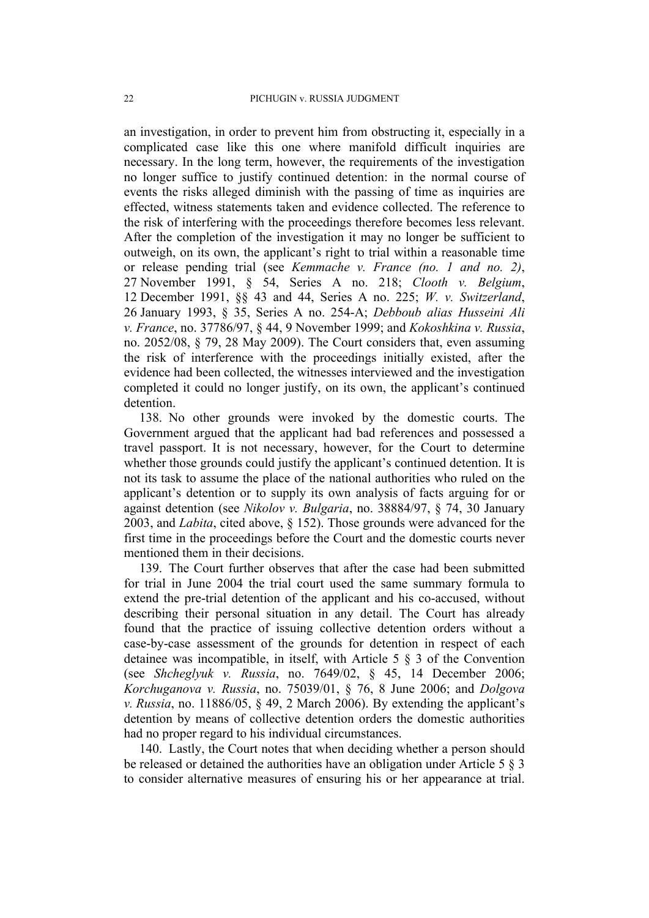an investigation, in order to prevent him from obstructing it, especially in a complicated case like this one where manifold difficult inquiries are necessary. In the long term, however, the requirements of the investigation no longer suffice to justify continued detention: in the normal course of events the risks alleged diminish with the passing of time as inquiries are effected, witness statements taken and evidence collected. The reference to the risk of interfering with the proceedings therefore becomes less relevant. After the completion of the investigation it may no longer be sufficient to outweigh, on its own, the applicant's right to trial within a reasonable time or release pending trial (see *Kemmache v. France (no. 1 and no. 2)*, 27 November 1991, § 54, Series A no. 218; *Clooth v. Belgium*, 12 December 1991, §§ 43 and 44, Series A no. 225; *W. v. Switzerland*, 26 January 1993, § 35, Series A no. 254-A; *Debboub alias Husseini Ali v. France*, no. 37786/97, § 44, 9 November 1999; and *Kokoshkina v. Russia*, no. 2052/08, § 79, 28 May 2009). The Court considers that, even assuming the risk of interference with the proceedings initially existed, after the evidence had been collected, the witnesses interviewed and the investigation completed it could no longer justify, on its own, the applicant's continued detention.

138. No other grounds were invoked by the domestic courts. The Government argued that the applicant had bad references and possessed a travel passport. It is not necessary, however, for the Court to determine whether those grounds could justify the applicant's continued detention. It is not its task to assume the place of the national authorities who ruled on the applicant's detention or to supply its own analysis of facts arguing for or against detention (see *Nikolov v. Bulgaria*, no. 38884/97, § 74, 30 January 2003, and *Labita*, cited above, § 152). Those grounds were advanced for the first time in the proceedings before the Court and the domestic courts never mentioned them in their decisions.

139. The Court further observes that after the case had been submitted for trial in June 2004 the trial court used the same summary formula to extend the pre-trial detention of the applicant and his co-accused, without describing their personal situation in any detail. The Court has already found that the practice of issuing collective detention orders without a case-by-case assessment of the grounds for detention in respect of each detainee was incompatible, in itself, with Article 5 § 3 of the Convention (see *Shcheglyuk v. Russia*, no. 7649/02, § 45, 14 December 2006; *Korchuganova v. Russia*, no. 75039/01, § 76, 8 June 2006; and *Dolgova v. Russia*, no. 11886/05, § 49, 2 March 2006). By extending the applicant's detention by means of collective detention orders the domestic authorities had no proper regard to his individual circumstances.

140. Lastly, the Court notes that when deciding whether a person should be released or detained the authorities have an obligation under Article 5 § 3 to consider alternative measures of ensuring his or her appearance at trial.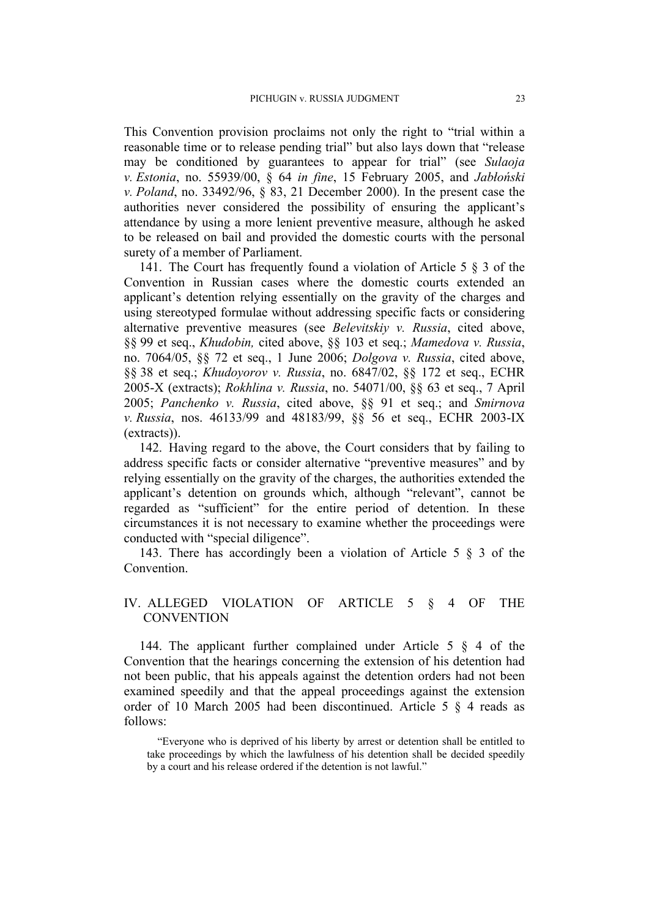This Convention provision proclaims not only the right to "trial within a reasonable time or to release pending trial" but also lays down that "release may be conditioned by guarantees to appear for trial" (see *Sulaoja v. Estonia*, no. 55939/00, § 64 *in fine*, 15 February 2005, and *Jabłoński v. Poland*, no. 33492/96, § 83, 21 December 2000). In the present case the authorities never considered the possibility of ensuring the applicant's attendance by using a more lenient preventive measure, although he asked to be released on bail and provided the domestic courts with the personal surety of a member of Parliament.

141. The Court has frequently found a violation of Article 5 § 3 of the Convention in Russian cases where the domestic courts extended an applicant's detention relying essentially on the gravity of the charges and using stereotyped formulae without addressing specific facts or considering alternative preventive measures (see *Belevitskiy v. Russia*, cited above, §§ 99 et seq., *Khudobin,* cited above, §§ 103 et seq.; *Mamedova v. Russia*, no. 7064/05, §§ 72 et seq., 1 June 2006; *Dolgova v. Russia*, cited above, §§ 38 et seq.; *Khudoyorov v. Russia*, no. 6847/02, §§ 172 et seq., ECHR 2005-X (extracts); *Rokhlina v. Russia*, no. 54071/00, §§ 63 et seq., 7 April 2005; *Panchenko v. Russia*, cited above, §§ 91 et seq.; and *Smirnova v. Russia*, nos. 46133/99 and 48183/99, §§ 56 et seq., ECHR 2003-IX (extracts)).

142. Having regard to the above, the Court considers that by failing to address specific facts or consider alternative "preventive measures" and by relying essentially on the gravity of the charges, the authorities extended the applicant's detention on grounds which, although "relevant", cannot be regarded as "sufficient" for the entire period of detention. In these circumstances it is not necessary to examine whether the proceedings were conducted with "special diligence".

143. There has accordingly been a violation of Article 5 § 3 of the **Convention** 

## IV. ALLEGED VIOLATION OF ARTICLE 5 § 4 OF THE **CONVENTION**

144. The applicant further complained under Article 5 § 4 of the Convention that the hearings concerning the extension of his detention had not been public, that his appeals against the detention orders had not been examined speedily and that the appeal proceedings against the extension order of 10 March 2005 had been discontinued. Article 5 § 4 reads as follows:

<sup>&</sup>quot;Everyone who is deprived of his liberty by arrest or detention shall be entitled to take proceedings by which the lawfulness of his detention shall be decided speedily by a court and his release ordered if the detention is not lawful."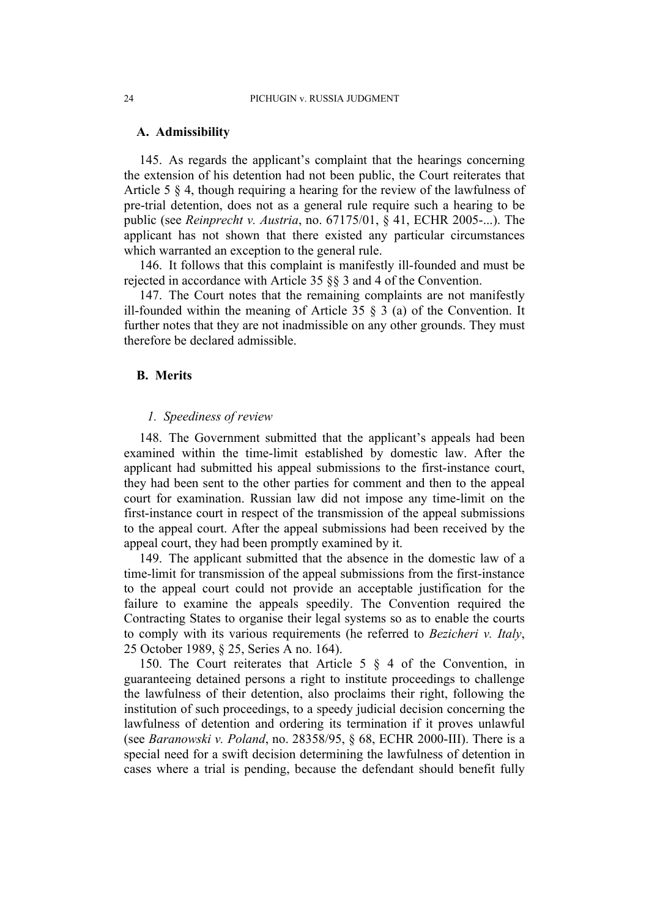#### **A. Admissibility**

145. As regards the applicant's complaint that the hearings concerning the extension of his detention had not been public, the Court reiterates that Article 5 § 4, though requiring a hearing for the review of the lawfulness of pre-trial detention, does not as a general rule require such a hearing to be public (see *Reinprecht v. Austria*, no. 67175/01, § 41, ECHR 2005-...). The applicant has not shown that there existed any particular circumstances which warranted an exception to the general rule.

146. It follows that this complaint is manifestly ill-founded and must be rejected in accordance with Article 35 §§ 3 and 4 of the Convention.

147. The Court notes that the remaining complaints are not manifestly ill-founded within the meaning of Article 35  $\S$  3 (a) of the Convention. It further notes that they are not inadmissible on any other grounds. They must therefore be declared admissible.

#### **B. Merits**

### *1. Speediness of review*

148. The Government submitted that the applicant's appeals had been examined within the time-limit established by domestic law. After the applicant had submitted his appeal submissions to the first-instance court, they had been sent to the other parties for comment and then to the appeal court for examination. Russian law did not impose any time-limit on the first-instance court in respect of the transmission of the appeal submissions to the appeal court. After the appeal submissions had been received by the appeal court, they had been promptly examined by it.

149. The applicant submitted that the absence in the domestic law of a time-limit for transmission of the appeal submissions from the first-instance to the appeal court could not provide an acceptable justification for the failure to examine the appeals speedily. The Convention required the Contracting States to organise their legal systems so as to enable the courts to comply with its various requirements (he referred to *Bezicheri v. Italy*, 25 October 1989, § 25, Series A no. 164).

150. The Court reiterates that Article 5 § 4 of the Convention, in guaranteeing detained persons a right to institute proceedings to challenge the lawfulness of their detention, also proclaims their right, following the institution of such proceedings, to a speedy judicial decision concerning the lawfulness of detention and ordering its termination if it proves unlawful (see *Baranowski v. Poland*, no. 28358/95, § 68, ECHR 2000-III). There is a special need for a swift decision determining the lawfulness of detention in cases where a trial is pending, because the defendant should benefit fully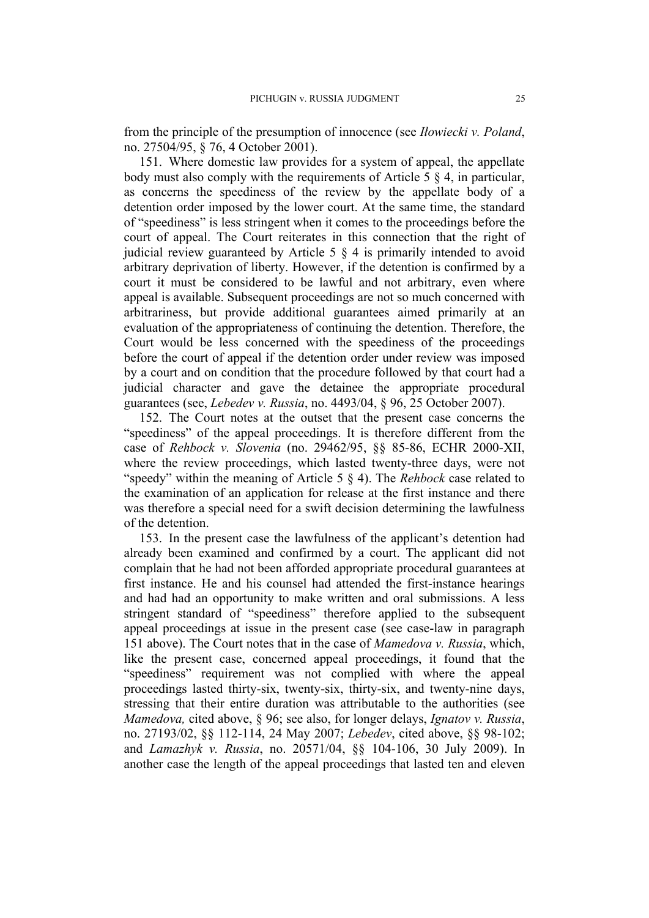from the principle of the presumption of innocence (see *Iłowiecki v. Poland*, no. 27504/95, § 76, 4 October 2001).

<span id="page-26-0"></span>151. Where domestic law provides for a system of appeal, the appellate body must also comply with the requirements of Article 5 § 4, in particular, as concerns the speediness of the review by the appellate body of a detention order imposed by the lower court. At the same time, the standard of "speediness" is less stringent when it comes to the proceedings before the court of appeal. The Court reiterates in this connection that the right of judicial review guaranteed by Article 5 § 4 is primarily intended to avoid arbitrary deprivation of liberty. However, if the detention is confirmed by a court it must be considered to be lawful and not arbitrary, even where appeal is available. Subsequent proceedings are not so much concerned with arbitrariness, but provide additional guarantees aimed primarily at an evaluation of the appropriateness of continuing the detention. Therefore, the Court would be less concerned with the speediness of the proceedings before the court of appeal if the detention order under review was imposed by a court and on condition that the procedure followed by that court had a judicial character and gave the detainee the appropriate procedural guarantees (see, *Lebedev v. Russia*, no. 4493/04, § 96, 25 October 2007).

152. The Court notes at the outset that the present case concerns the "speediness" of the appeal proceedings. It is therefore different from the case of *Rehbock v. Slovenia* (no. 29462/95, §§ 85-86, ECHR 2000-XII, where the review proceedings, which lasted twenty-three days, were not "speedy" within the meaning of Article 5 § 4). The *Rehbock* case related to the examination of an application for release at the first instance and there was therefore a special need for a swift decision determining the lawfulness of the detention.

153. In the present case the lawfulness of the applicant's detention had already been examined and confirmed by a court. The applicant did not complain that he had not been afforded appropriate procedural guarantees at first instance. He and his counsel had attended the first-instance hearings and had had an opportunity to make written and oral submissions. A less stringent standard of "speediness" therefore applied to the subsequent appeal proceedings at issue in the present case (see case-law in paragraph [151](#page-26-0) above). The Court notes that in the case of *Mamedova v. Russia*, which, like the present case, concerned appeal proceedings, it found that the "speediness" requirement was not complied with where the appeal proceedings lasted thirty-six, twenty-six, thirty-six, and twenty-nine days, stressing that their entire duration was attributable to the authorities (see *Mamedova,* cited above, § 96; see also, for longer delays, *Ignatov v. Russia*, no. 27193/02, §§ 112-114, 24 May 2007; *Lebedev*, cited above, §§ 98-102; and *Lamazhyk v. Russia*, no. 20571/04, §§ 104-106, 30 July 2009). In another case the length of the appeal proceedings that lasted ten and eleven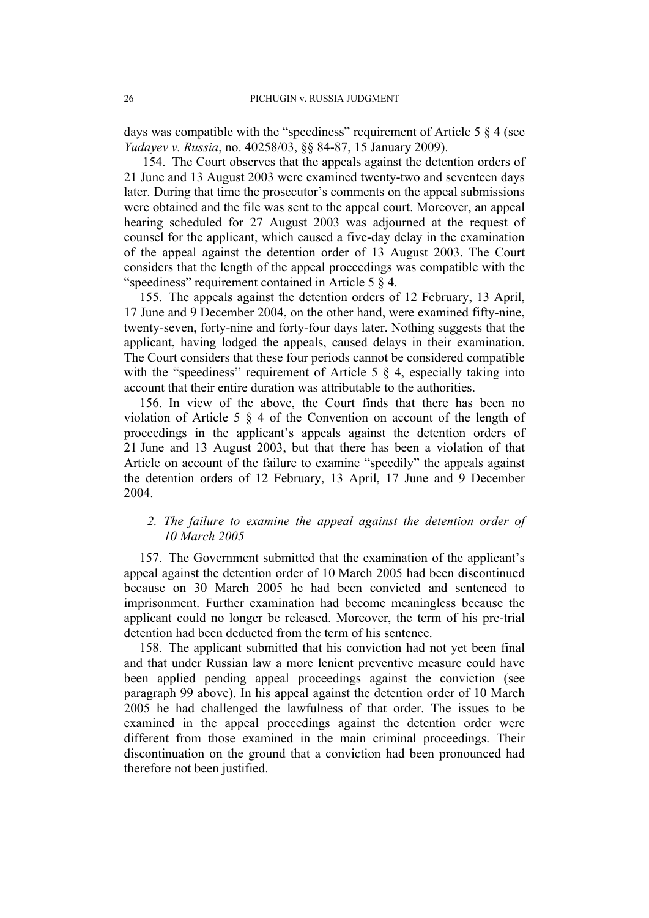days was compatible with the "speediness" requirement of Article 5  $\S$  4 (see *Yudayev v. Russia*, no. 40258/03, §§ 84-87, 15 January 2009).

154. The Court observes that the appeals against the detention orders of 21 June and 13 August 2003 were examined twenty-two and seventeen days later. During that time the prosecutor's comments on the appeal submissions were obtained and the file was sent to the appeal court. Moreover, an appeal hearing scheduled for 27 August 2003 was adjourned at the request of counsel for the applicant, which caused a five-day delay in the examination of the appeal against the detention order of 13 August 2003. The Court considers that the length of the appeal proceedings was compatible with the "speediness" requirement contained in Article 5 § 4.

155. The appeals against the detention orders of 12 February, 13 April, 17 June and 9 December 2004, on the other hand, were examined fifty-nine, twenty-seven, forty-nine and forty-four days later. Nothing suggests that the applicant, having lodged the appeals, caused delays in their examination. The Court considers that these four periods cannot be considered compatible with the "speediness" requirement of Article 5  $\S$  4, especially taking into account that their entire duration was attributable to the authorities.

156. In view of the above, the Court finds that there has been no violation of Article 5 § 4 of the Convention on account of the length of proceedings in the applicant's appeals against the detention orders of 21 June and 13 August 2003, but that there has been a violation of that Article on account of the failure to examine "speedily" the appeals against the detention orders of 12 February, 13 April, 17 June and 9 December 2004.

# *2. The failure to examine the appeal against the detention order of 10 March 2005*

157. The Government submitted that the examination of the applicant's appeal against the detention order of 10 March 2005 had been discontinued because on 30 March 2005 he had been convicted and sentenced to imprisonment. Further examination had become meaningless because the applicant could no longer be released. Moreover, the term of his pre-trial detention had been deducted from the term of his sentence.

158. The applicant submitted that his conviction had not yet been final and that under Russian law a more lenient preventive measure could have been applied pending appeal proceedings against the conviction (see paragraph [99](#page-14-0) above). In his appeal against the detention order of 10 March 2005 he had challenged the lawfulness of that order. The issues to be examined in the appeal proceedings against the detention order were different from those examined in the main criminal proceedings. Their discontinuation on the ground that a conviction had been pronounced had therefore not been justified.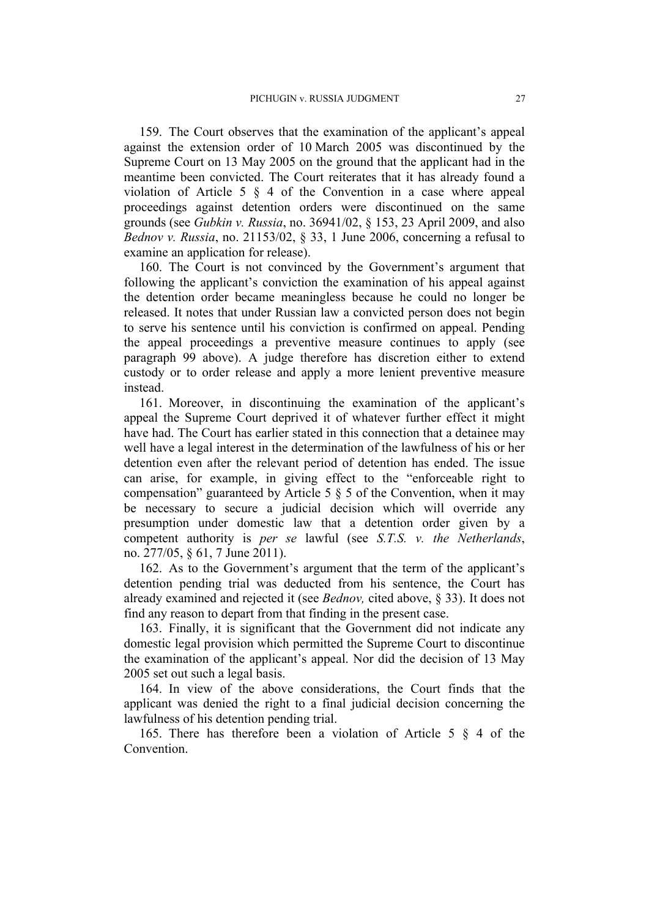159. The Court observes that the examination of the applicant's appeal against the extension order of 10 March 2005 was discontinued by the Supreme Court on 13 May 2005 on the ground that the applicant had in the meantime been convicted. The Court reiterates that it has already found a violation of Article 5 § 4 of the Convention in a case where appeal proceedings against detention orders were discontinued on the same grounds (see *Gubkin v. Russia*, no. 36941/02, § 153, 23 April 2009, and also *Bednov v. Russia*, no. 21153/02, § 33, 1 June 2006, concerning a refusal to examine an application for release).

160. The Court is not convinced by the Government's argument that following the applicant's conviction the examination of his appeal against the detention order became meaningless because he could no longer be released. It notes that under Russian law a convicted person does not begin to serve his sentence until his conviction is confirmed on appeal. Pending the appeal proceedings a preventive measure continues to apply (see paragraph [99](#page-14-0) above). A judge therefore has discretion either to extend custody or to order release and apply a more lenient preventive measure instead.

161. Moreover, in discontinuing the examination of the applicant's appeal the Supreme Court deprived it of whatever further effect it might have had. The Court has earlier stated in this connection that a detainee may well have a legal interest in the determination of the lawfulness of his or her detention even after the relevant period of detention has ended. The issue can arise, for example, in giving effect to the "enforceable right to compensation" guaranteed by Article 5  $\S$  5 of the Convention, when it may be necessary to secure a judicial decision which will override any presumption under domestic law that a detention order given by a competent authority is *per se* lawful (see *S.T.S. v. the Netherlands*, no. 277/05, § 61, 7 June 2011).

162. As to the Government's argument that the term of the applicant's detention pending trial was deducted from his sentence, the Court has already examined and rejected it (see *Bednov,* cited above, § 33). It does not find any reason to depart from that finding in the present case.

163. Finally, it is significant that the Government did not indicate any domestic legal provision which permitted the Supreme Court to discontinue the examination of the applicant's appeal. Nor did the decision of 13 May 2005 set out such a legal basis.

164. In view of the above considerations, the Court finds that the applicant was denied the right to a final judicial decision concerning the lawfulness of his detention pending trial.

165. There has therefore been a violation of Article 5 § 4 of the **Convention**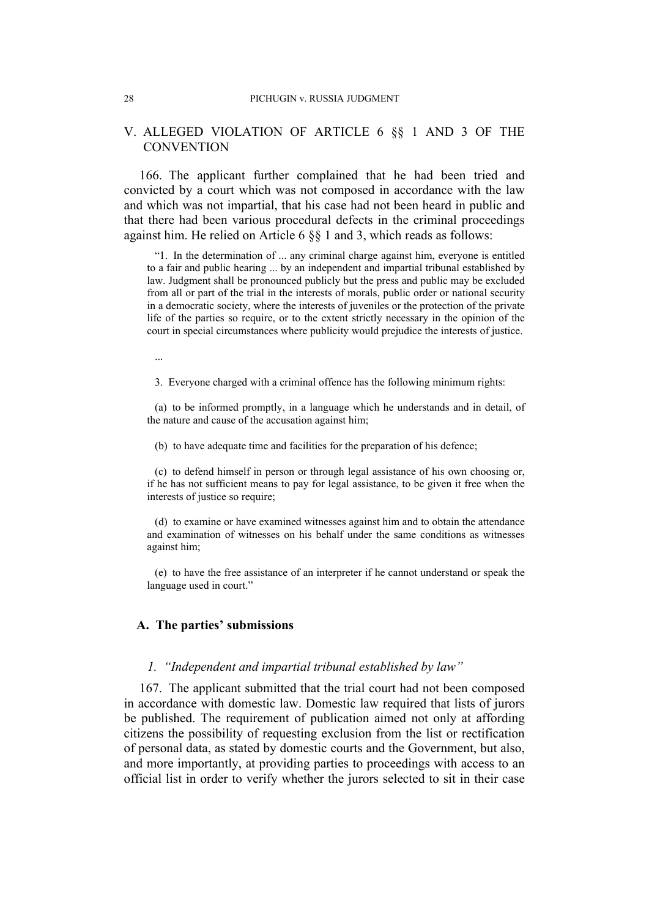#### 28 PICHUGIN v. RUSSIA JUDGMENT

## V. ALLEGED VIOLATION OF ARTICLE 6 §§ 1 AND 3 OF THE **CONVENTION**

166. The applicant further complained that he had been tried and convicted by a court which was not composed in accordance with the law and which was not impartial, that his case had not been heard in public and that there had been various procedural defects in the criminal proceedings against him. He relied on Article 6 §§ 1 and 3, which reads as follows:

"1. In the determination of ... any criminal charge against him, everyone is entitled to a fair and public hearing ... by an independent and impartial tribunal established by law. Judgment shall be pronounced publicly but the press and public may be excluded from all or part of the trial in the interests of morals, public order or national security in a democratic society, where the interests of juveniles or the protection of the private life of the parties so require, or to the extent strictly necessary in the opinion of the court in special circumstances where publicity would prejudice the interests of justice.

...

3. Everyone charged with a criminal offence has the following minimum rights:

(a) to be informed promptly, in a language which he understands and in detail, of the nature and cause of the accusation against him;

(b) to have adequate time and facilities for the preparation of his defence;

(c) to defend himself in person or through legal assistance of his own choosing or, if he has not sufficient means to pay for legal assistance, to be given it free when the interests of justice so require;

(d) to examine or have examined witnesses against him and to obtain the attendance and examination of witnesses on his behalf under the same conditions as witnesses against him;

(e) to have the free assistance of an interpreter if he cannot understand or speak the language used in court."

#### **A. The parties' submissions**

#### *1. "Independent and impartial tribunal established by law"*

167. The applicant submitted that the trial court had not been composed in accordance with domestic law. Domestic law required that lists of jurors be published. The requirement of publication aimed not only at affording citizens the possibility of requesting exclusion from the list or rectification of personal data, as stated by domestic courts and the Government, but also, and more importantly, at providing parties to proceedings with access to an official list in order to verify whether the jurors selected to sit in their case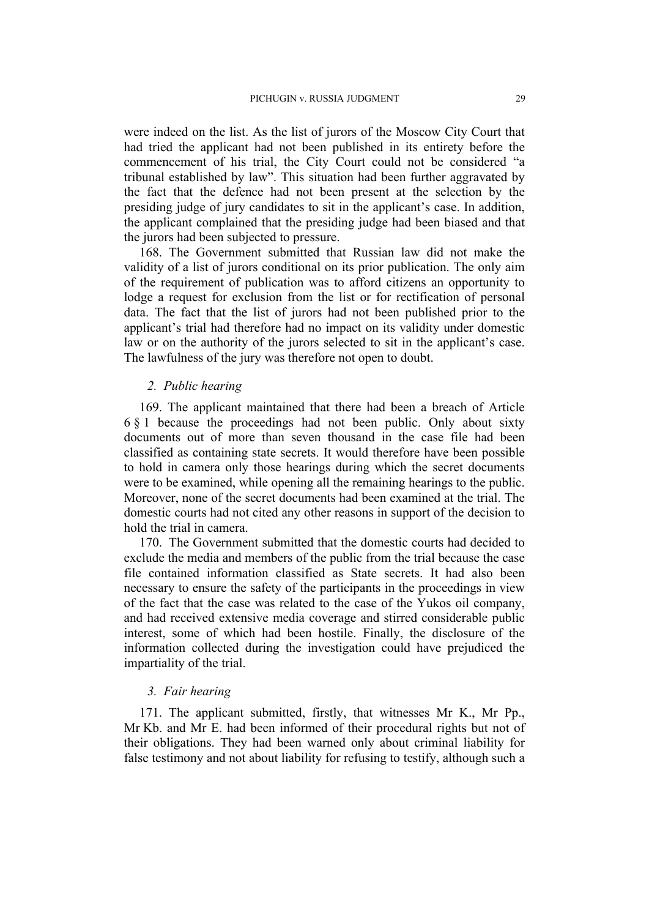were indeed on the list. As the list of jurors of the Moscow City Court that had tried the applicant had not been published in its entirety before the commencement of his trial, the City Court could not be considered "a tribunal established by law". This situation had been further aggravated by the fact that the defence had not been present at the selection by the presiding judge of jury candidates to sit in the applicant's case. In addition, the applicant complained that the presiding judge had been biased and that the jurors had been subjected to pressure.

168. The Government submitted that Russian law did not make the validity of a list of jurors conditional on its prior publication. The only aim of the requirement of publication was to afford citizens an opportunity to lodge a request for exclusion from the list or for rectification of personal data. The fact that the list of jurors had not been published prior to the applicant's trial had therefore had no impact on its validity under domestic law or on the authority of the jurors selected to sit in the applicant's case. The lawfulness of the jury was therefore not open to doubt.

#### *2. Public hearing*

169. The applicant maintained that there had been a breach of Article 6 § 1 because the proceedings had not been public. Only about sixty documents out of more than seven thousand in the case file had been classified as containing state secrets. It would therefore have been possible to hold in camera only those hearings during which the secret documents were to be examined, while opening all the remaining hearings to the public. Moreover, none of the secret documents had been examined at the trial. The domestic courts had not cited any other reasons in support of the decision to hold the trial in camera.

170. The Government submitted that the domestic courts had decided to exclude the media and members of the public from the trial because the case file contained information classified as State secrets. It had also been necessary to ensure the safety of the participants in the proceedings in view of the fact that the case was related to the case of the Yukos oil company, and had received extensive media coverage and stirred considerable public interest, some of which had been hostile. Finally, the disclosure of the information collected during the investigation could have prejudiced the impartiality of the trial.

#### *3. Fair hearing*

171. The applicant submitted, firstly, that witnesses Mr K., Mr Pp., Mr Kb. and Mr E. had been informed of their procedural rights but not of their obligations. They had been warned only about criminal liability for false testimony and not about liability for refusing to testify, although such a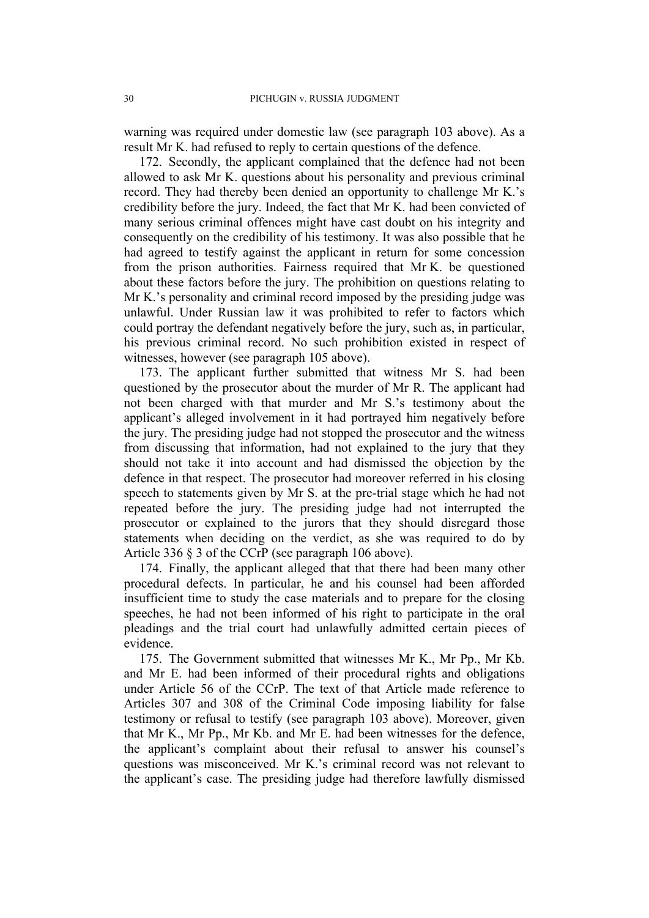warning was required under domestic law (see paragraph [103](#page-15-0) above). As a result Mr K. had refused to reply to certain questions of the defence.

172. Secondly, the applicant complained that the defence had not been allowed to ask Mr K. questions about his personality and previous criminal record. They had thereby been denied an opportunity to challenge Mr K.'s credibility before the jury. Indeed, the fact that Mr K. had been convicted of many serious criminal offences might have cast doubt on his integrity and consequently on the credibility of his testimony. It was also possible that he had agreed to testify against the applicant in return for some concession from the prison authorities. Fairness required that Mr K. be questioned about these factors before the jury. The prohibition on questions relating to Mr K.'s personality and criminal record imposed by the presiding judge was unlawful. Under Russian law it was prohibited to refer to factors which could portray the defendant negatively before the jury, such as, in particular, his previous criminal record. No such prohibition existed in respect of witnesses, however (see paragraph [105](#page-15-1) above).

173. The applicant further submitted that witness Mr S. had been questioned by the prosecutor about the murder of Mr R. The applicant had not been charged with that murder and Mr S.'s testimony about the applicant's alleged involvement in it had portrayed him negatively before the jury. The presiding judge had not stopped the prosecutor and the witness from discussing that information, had not explained to the jury that they should not take it into account and had dismissed the objection by the defence in that respect. The prosecutor had moreover referred in his closing speech to statements given by Mr S. at the pre-trial stage which he had not repeated before the jury. The presiding judge had not interrupted the prosecutor or explained to the jurors that they should disregard those statements when deciding on the verdict, as she was required to do by Article 336 § 3 of the CCrP (see paragraph [106](#page-15-2) above).

174. Finally, the applicant alleged that that there had been many other procedural defects. In particular, he and his counsel had been afforded insufficient time to study the case materials and to prepare for the closing speeches, he had not been informed of his right to participate in the oral pleadings and the trial court had unlawfully admitted certain pieces of evidence.

175. The Government submitted that witnesses Mr K., Mr Pp., Mr Kb. and Mr E. had been informed of their procedural rights and obligations under Article 56 of the CCrP. The text of that Article made reference to Articles 307 and 308 of the Criminal Code imposing liability for false testimony or refusal to testify (see paragraph [103](#page-15-0) above). Moreover, given that Mr K., Mr Pp., Mr Kb. and Mr E. had been witnesses for the defence, the applicant's complaint about their refusal to answer his counsel's questions was misconceived. Mr K.'s criminal record was not relevant to the applicant's case. The presiding judge had therefore lawfully dismissed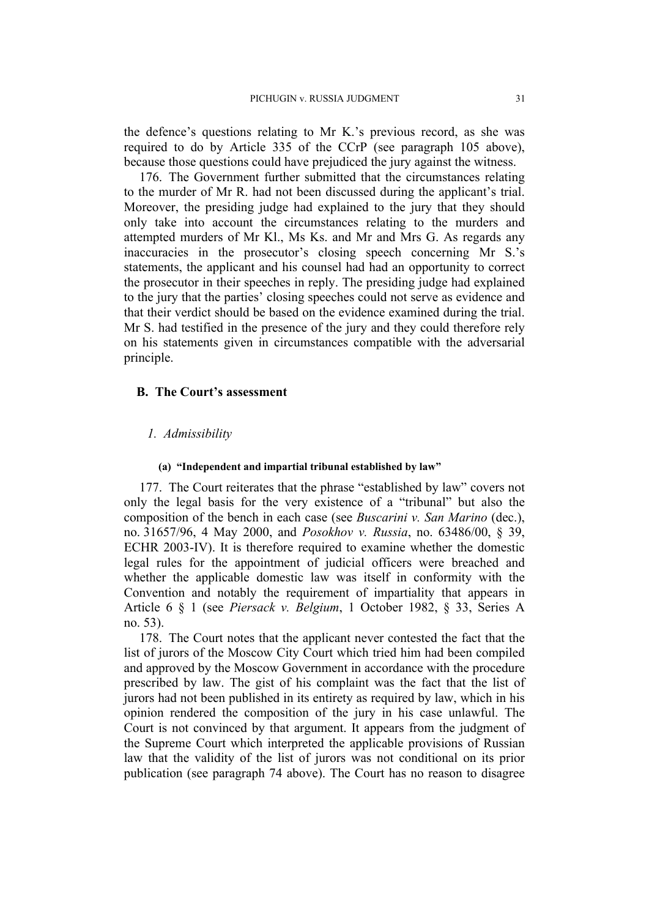the defence's questions relating to Mr K.'s previous record, as she was required to do by Article 335 of the CCrP (see paragraph [105](#page-15-1) above), because those questions could have prejudiced the jury against the witness.

176. The Government further submitted that the circumstances relating to the murder of Mr R. had not been discussed during the applicant's trial. Moreover, the presiding judge had explained to the jury that they should only take into account the circumstances relating to the murders and attempted murders of Mr Kl., Ms Ks. and Mr and Mrs G. As regards any inaccuracies in the prosecutor's closing speech concerning Mr S.'s statements, the applicant and his counsel had had an opportunity to correct the prosecutor in their speeches in reply. The presiding judge had explained to the jury that the parties' closing speeches could not serve as evidence and that their verdict should be based on the evidence examined during the trial. Mr S. had testified in the presence of the jury and they could therefore rely on his statements given in circumstances compatible with the adversarial principle.

#### **B. The Court's assessment**

#### *1. Admissibility*

#### **(a) "Independent and impartial tribunal established by law"**

177. The Court reiterates that the phrase "established by law" covers not only the legal basis for the very existence of a "tribunal" but also the composition of the bench in each case (see *Buscarini v. San Marino* (dec.), no. 31657/96, 4 May 2000, and *Posokhov v. Russia*, no. 63486/00, § 39, ECHR 2003-IV). It is therefore required to examine whether the domestic legal rules for the appointment of judicial officers were breached and whether the applicable domestic law was itself in conformity with the Convention and notably the requirement of impartiality that appears in Article 6 § 1 (see *Piersack v. Belgium*, 1 October 1982, § 33, Series A no. 53).

178. The Court notes that the applicant never contested the fact that the list of jurors of the Moscow City Court which tried him had been compiled and approved by the Moscow Government in accordance with the procedure prescribed by law. The gist of his complaint was the fact that the list of jurors had not been published in its entirety as required by law, which in his opinion rendered the composition of the jury in his case unlawful. The Court is not convinced by that argument. It appears from the judgment of the Supreme Court which interpreted the applicable provisions of Russian law that the validity of the list of jurors was not conditional on its prior publication (see paragraph [74](#page-11-0) above). The Court has no reason to disagree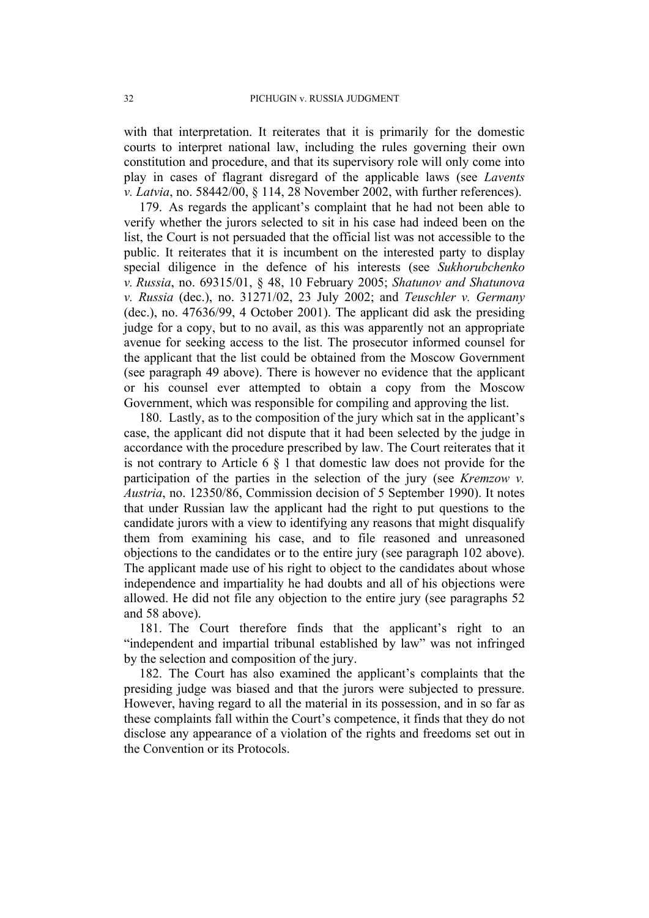with that interpretation. It reiterates that it is primarily for the domestic courts to interpret national law, including the rules governing their own constitution and procedure, and that its supervisory role will only come into play in cases of flagrant disregard of the applicable laws (see *Lavents v. Latvia*, no. 58442/00, § 114, 28 November 2002, with further references).

179. As regards the applicant's complaint that he had not been able to verify whether the jurors selected to sit in his case had indeed been on the list, the Court is not persuaded that the official list was not accessible to the public. It reiterates that it is incumbent on the interested party to display special diligence in the defence of his interests (see *Sukhorubchenko v. Russia*, no. 69315/01, § 48, 10 February 2005; *Shatunov and Shatunova v. Russia* (dec.), no. 31271/02, 23 July 2002; and *Teuschler v. Germany* (dec.), no. 47636/99, 4 October 2001). The applicant did ask the presiding judge for a copy, but to no avail, as this was apparently not an appropriate avenue for seeking access to the list. The prosecutor informed counsel for the applicant that the list could be obtained from the Moscow Government (see paragraph [49](#page-8-0) above). There is however no evidence that the applicant or his counsel ever attempted to obtain a copy from the Moscow Government, which was responsible for compiling and approving the list.

180. Lastly, as to the composition of the jury which sat in the applicant's case, the applicant did not dispute that it had been selected by the judge in accordance with the procedure prescribed by law. The Court reiterates that it is not contrary to Article 6 § 1 that domestic law does not provide for the participation of the parties in the selection of the jury (see *Kremzow v. Austria*, no. 12350/86, Commission decision of 5 September 1990). It notes that under Russian law the applicant had the right to put questions to the candidate jurors with a view to identifying any reasons that might disqualify them from examining his case, and to file reasoned and unreasoned objections to the candidates or to the entire jury (see paragraph [102](#page-15-3) above). The applicant made use of his right to object to the candidates about whose independence and impartiality he had doubts and all of his objections were allowed. He did not file any objection to the entire jury (see paragraphs [52](#page-8-1) and [58](#page-9-0) above).

181. The Court therefore finds that the applicant's right to an "independent and impartial tribunal established by law" was not infringed by the selection and composition of the jury.

182. The Court has also examined the applicant's complaints that the presiding judge was biased and that the jurors were subjected to pressure. However, having regard to all the material in its possession, and in so far as these complaints fall within the Court's competence, it finds that they do not disclose any appearance of a violation of the rights and freedoms set out in the Convention or its Protocols.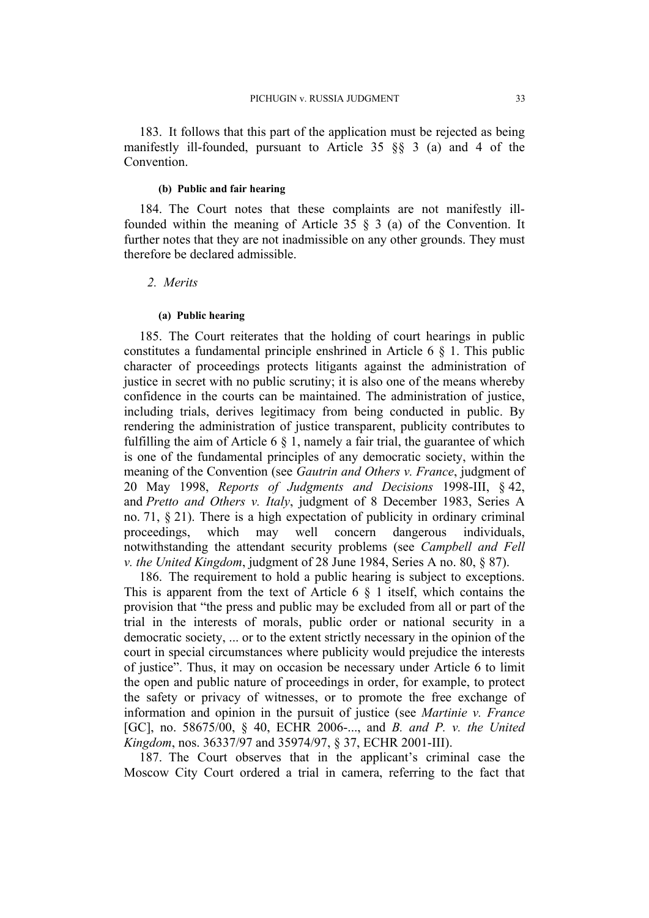183. It follows that this part of the application must be rejected as being manifestly ill-founded, pursuant to Article 35 §§ 3 (a) and 4 of the **Convention** 

#### **(b) Public and fair hearing**

184. The Court notes that these complaints are not manifestly illfounded within the meaning of Article 35 § 3 (a) of the Convention. It further notes that they are not inadmissible on any other grounds. They must therefore be declared admissible.

# *2. Merits*

#### **(a) Public hearing**

185. The Court reiterates that the holding of court hearings in public constitutes a fundamental principle enshrined in Article 6 § 1. This public character of proceedings protects litigants against the administration of justice in secret with no public scrutiny; it is also one of the means whereby confidence in the courts can be maintained. The administration of justice, including trials, derives legitimacy from being conducted in public. By rendering the administration of justice transparent, publicity contributes to fulfilling the aim of Article 6  $\S$  1, namely a fair trial, the guarantee of which is one of the fundamental principles of any democratic society, within the meaning of the Convention (see *Gautrin and Others v. France*, judgment of 20 May 1998, *Reports of Judgments and Decisions* 1998-III, § 42, and *Pretto and Others v. Italy*, judgment of 8 December 1983, Series A no. 71,  $\S$  21). There is a high expectation of publicity in ordinary criminal proceedings, which may well concern dangerous individuals, notwithstanding the attendant security problems (see *Campbell and Fell v. the United Kingdom*, judgment of 28 June 1984, Series A no. 80, § 87).

186. The requirement to hold a public hearing is subject to exceptions. This is apparent from the text of Article 6  $\S$  1 itself, which contains the provision that "the press and public may be excluded from all or part of the trial in the interests of morals, public order or national security in a democratic society, ... or to the extent strictly necessary in the opinion of the court in special circumstances where publicity would prejudice the interests of justice". Thus, it may on occasion be necessary under Article 6 to limit the open and public nature of proceedings in order, for example, to protect the safety or privacy of witnesses, or to promote the free exchange of information and opinion in the pursuit of justice (see *Martinie v. France* [GC], no. 58675/00, § 40, ECHR 2006-..., and *B. and P. v. the United Kingdom*, nos. 36337/97 and 35974/97, § 37, ECHR 2001-III).

187. The Court observes that in the applicant's criminal case the Moscow City Court ordered a trial in camera, referring to the fact that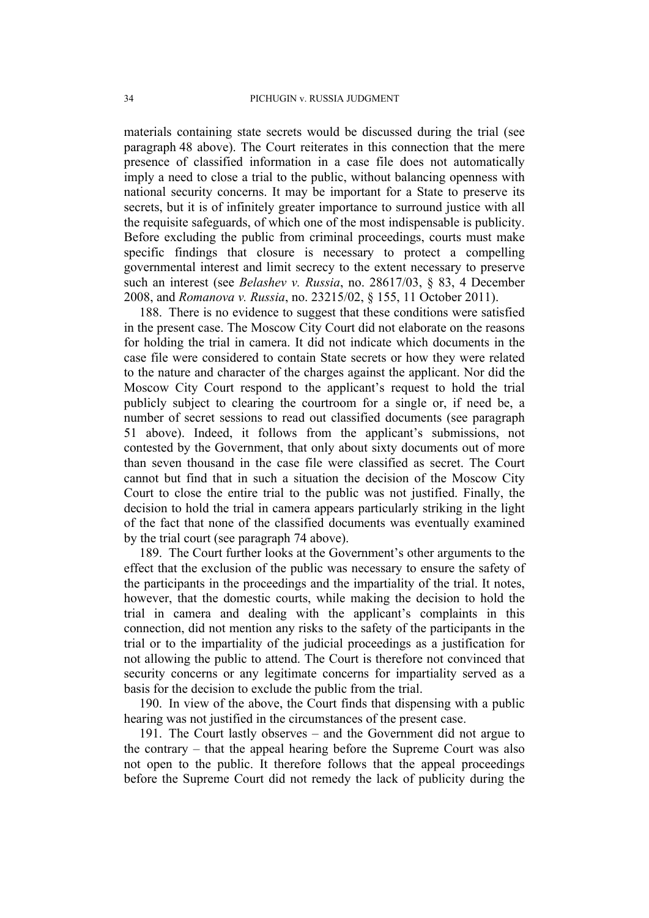materials containing state secrets would be discussed during the trial (see paragraph [48](#page-8-2) above). The Court reiterates in this connection that the mere presence of classified information in a case file does not automatically imply a need to close a trial to the public, without balancing openness with national security concerns. It may be important for a State to preserve its secrets, but it is of infinitely greater importance to surround justice with all the requisite safeguards, of which one of the most indispensable is publicity. Before excluding the public from criminal proceedings, courts must make specific findings that closure is necessary to protect a compelling governmental interest and limit secrecy to the extent necessary to preserve such an interest (see *Belashev v. Russia*, no. 28617/03, § 83, 4 December 2008, and *Romanova v. Russia*, no. 23215/02, § 155, 11 October 2011).

188. There is no evidence to suggest that these conditions were satisfied in the present case. The Moscow City Court did not elaborate on the reasons for holding the trial in camera. It did not indicate which documents in the case file were considered to contain State secrets or how they were related to the nature and character of the charges against the applicant. Nor did the Moscow City Court respond to the applicant's request to hold the trial publicly subject to clearing the courtroom for a single or, if need be, a number of secret sessions to read out classified documents (see paragraph [51](#page-8-3) above). Indeed, it follows from the applicant's submissions, not contested by the Government, that only about sixty documents out of more than seven thousand in the case file were classified as secret. The Court cannot but find that in such a situation the decision of the Moscow City Court to close the entire trial to the public was not justified. Finally, the decision to hold the trial in camera appears particularly striking in the light of the fact that none of the classified documents was eventually examined by the trial court (see paragraph [74](#page-11-0) above).

189. The Court further looks at the Government's other arguments to the effect that the exclusion of the public was necessary to ensure the safety of the participants in the proceedings and the impartiality of the trial. It notes, however, that the domestic courts, while making the decision to hold the trial in camera and dealing with the applicant's complaints in this connection, did not mention any risks to the safety of the participants in the trial or to the impartiality of the judicial proceedings as a justification for not allowing the public to attend. The Court is therefore not convinced that security concerns or any legitimate concerns for impartiality served as a basis for the decision to exclude the public from the trial.

190. In view of the above, the Court finds that dispensing with a public hearing was not justified in the circumstances of the present case.

191. The Court lastly observes – and the Government did not argue to the contrary – that the appeal hearing before the Supreme Court was also not open to the public. It therefore follows that the appeal proceedings before the Supreme Court did not remedy the lack of publicity during the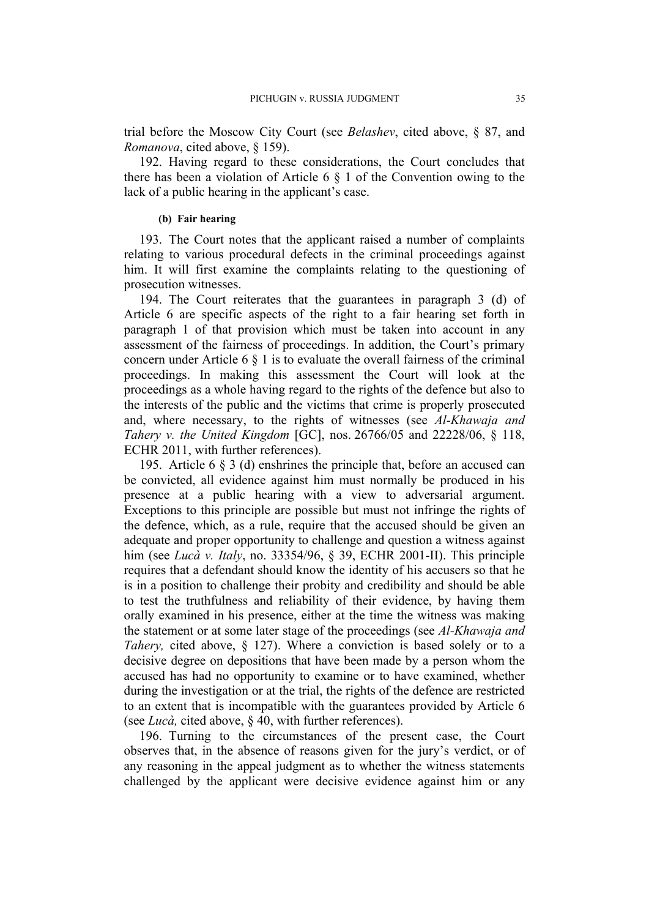trial before the Moscow City Court (see *Belashev*, cited above, § 87, and *Romanova*, cited above, § 159).

192. Having regard to these considerations, the Court concludes that there has been a violation of Article 6 § 1 of the Convention owing to the lack of a public hearing in the applicant's case.

#### **(b) Fair hearing**

193. The Court notes that the applicant raised a number of complaints relating to various procedural defects in the criminal proceedings against him. It will first examine the complaints relating to the questioning of prosecution witnesses.

194. The Court reiterates that the guarantees in paragraph 3 (d) of Article 6 are specific aspects of the right to a fair hearing set forth in paragraph 1 of that provision which must be taken into account in any assessment of the fairness of proceedings. In addition, the Court's primary concern under Article  $6 \S 1$  is to evaluate the overall fairness of the criminal proceedings. In making this assessment the Court will look at the proceedings as a whole having regard to the rights of the defence but also to the interests of the public and the victims that crime is properly prosecuted and, where necessary, to the rights of witnesses (see *Al-Khawaja and Tahery v. the United Kingdom* [GC], nos. 26766/05 and 22228/06, § 118, ECHR 2011, with further references).

195. Article 6 § 3 (d) enshrines the principle that, before an accused can be convicted, all evidence against him must normally be produced in his presence at a public hearing with a view to adversarial argument. Exceptions to this principle are possible but must not infringe the rights of the defence, which, as a rule, require that the accused should be given an adequate and proper opportunity to challenge and question a witness against him (see *Lucà v. Italy*, no. 33354/96, § 39, ECHR 2001-II). This principle requires that a defendant should know the identity of his accusers so that he is in a position to challenge their probity and credibility and should be able to test the truthfulness and reliability of their evidence, by having them orally examined in his presence, either at the time the witness was making the statement or at some later stage of the proceedings (see *Al-Khawaja and Tahery,* cited above, § 127). Where a conviction is based solely or to a decisive degree on depositions that have been made by a person whom the accused has had no opportunity to examine or to have examined, whether during the investigation or at the trial, the rights of the defence are restricted to an extent that is incompatible with the guarantees provided by Article 6 (see *Lucà,* cited above, § 40, with further references).

<span id="page-36-0"></span>196. Turning to the circumstances of the present case, the Court observes that, in the absence of reasons given for the jury's verdict, or of any reasoning in the appeal judgment as to whether the witness statements challenged by the applicant were decisive evidence against him or any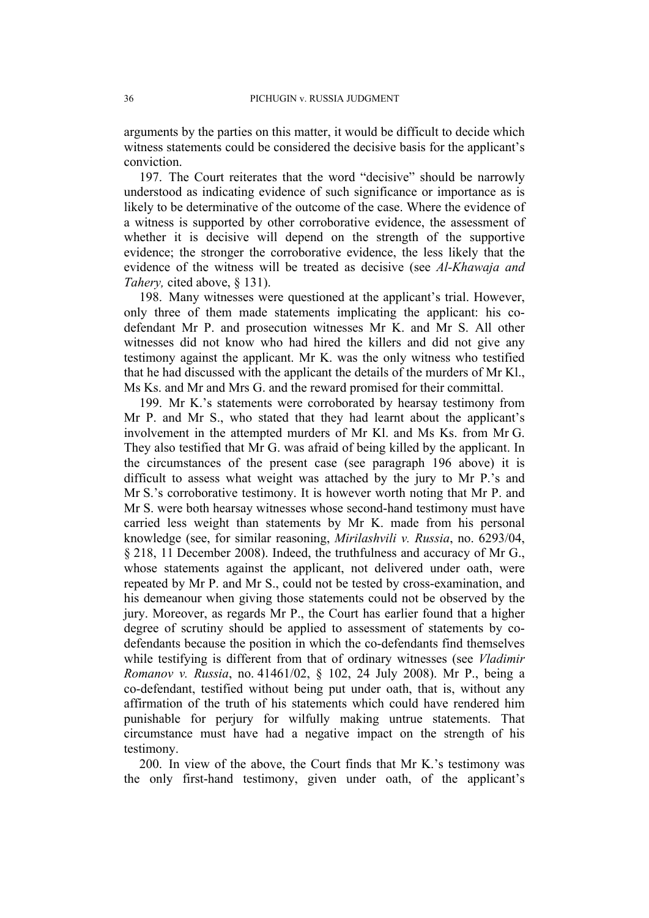arguments by the parties on this matter, it would be difficult to decide which witness statements could be considered the decisive basis for the applicant's conviction.

197. The Court reiterates that the word "decisive" should be narrowly understood as indicating evidence of such significance or importance as is likely to be determinative of the outcome of the case. Where the evidence of a witness is supported by other corroborative evidence, the assessment of whether it is decisive will depend on the strength of the supportive evidence; the stronger the corroborative evidence, the less likely that the evidence of the witness will be treated as decisive (see *Al-Khawaja and Tahery,* cited above, § 131).

198. Many witnesses were questioned at the applicant's trial. However, only three of them made statements implicating the applicant: his codefendant Mr P. and prosecution witnesses Mr K. and Mr S. All other witnesses did not know who had hired the killers and did not give any testimony against the applicant. Mr K. was the only witness who testified that he had discussed with the applicant the details of the murders of Mr Kl., Ms Ks. and Mr and Mrs G. and the reward promised for their committal.

199. Mr K.'s statements were corroborated by hearsay testimony from Mr P. and Mr S., who stated that they had learnt about the applicant's involvement in the attempted murders of Mr Kl. and Ms Ks. from Mr G. They also testified that Mr G. was afraid of being killed by the applicant. In the circumstances of the present case (see paragraph [196](#page-36-0) above) it is difficult to assess what weight was attached by the jury to Mr P.'s and Mr S.'s corroborative testimony. It is however worth noting that Mr P. and Mr S. were both hearsay witnesses whose second-hand testimony must have carried less weight than statements by Mr K. made from his personal knowledge (see, for similar reasoning, *Mirilashvili v. Russia*, no. 6293/04, § 218, 11 December 2008). Indeed, the truthfulness and accuracy of Mr G., whose statements against the applicant, not delivered under oath, were repeated by Mr P. and Mr S., could not be tested by cross-examination, and his demeanour when giving those statements could not be observed by the jury. Moreover, as regards Mr P., the Court has earlier found that a higher degree of scrutiny should be applied to assessment of statements by codefendants because the position in which the co-defendants find themselves while testifying is different from that of ordinary witnesses (see *Vladimir Romanov v. Russia*, no. 41461/02, § 102, 24 July 2008). Mr P., being a co-defendant, testified without being put under oath, that is, without any affirmation of the truth of his statements which could have rendered him punishable for perjury for wilfully making untrue statements. That circumstance must have had a negative impact on the strength of his testimony.

200. In view of the above, the Court finds that Mr K.'s testimony was the only first-hand testimony, given under oath, of the applicant's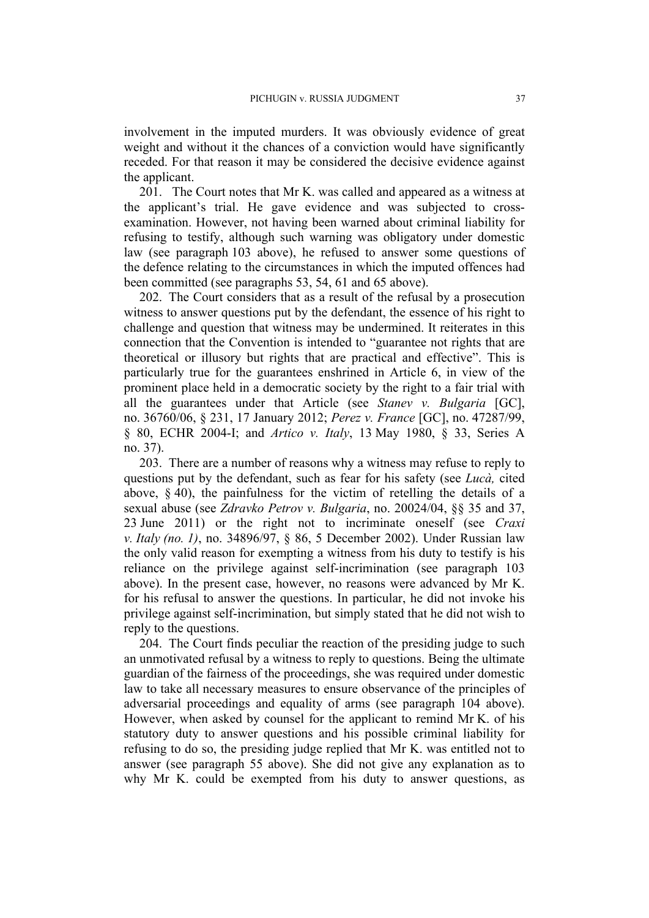involvement in the imputed murders. It was obviously evidence of great weight and without it the chances of a conviction would have significantly receded. For that reason it may be considered the decisive evidence against the applicant.

201. The Court notes that Mr K. was called and appeared as a witness at the applicant's trial. He gave evidence and was subjected to crossexamination. However, not having been warned about criminal liability for refusing to testify, although such warning was obligatory under domestic law (see paragraph [103](#page-15-0) above), he refused to answer some questions of the defence relating to the circumstances in which the imputed offences had been committed (see paragraphs [53,](#page-8-4) [54,](#page-8-5) [61](#page-9-1) and [65](#page-10-0) above).

202. The Court considers that as a result of the refusal by a prosecution witness to answer questions put by the defendant, the essence of his right to challenge and question that witness may be undermined. It reiterates in this connection that the Convention is intended to "guarantee not rights that are theoretical or illusory but rights that are practical and effective". This is particularly true for the guarantees enshrined in Article 6, in view of the prominent place held in a democratic society by the right to a fair trial with all the guarantees under that Article (see *Stanev v. Bulgaria* [GC], no. 36760/06, § 231, 17 January 2012; *Perez v. France* [GC], no. 47287/99, § 80, ECHR 2004-I; and *Artico v. Italy*, 13 May 1980, § 33, Series A no. 37).

203. There are a number of reasons why a witness may refuse to reply to questions put by the defendant, such as fear for his safety (see *Lucà,* cited above,  $\S$  40), the painfulness for the victim of retelling the details of a sexual abuse (see *Zdravko Petrov v. Bulgaria*, no. 20024/04, §§ 35 and 37, 23 June 2011) or the right not to incriminate oneself (see *Craxi v. Italy (no. 1)*, no. 34896/97, § 86, 5 December 2002). Under Russian law the only valid reason for exempting a witness from his duty to testify is his reliance on the privilege against self-incrimination (see paragraph [103](#page-15-0) above). In the present case, however, no reasons were advanced by Mr K. for his refusal to answer the questions. In particular, he did not invoke his privilege against self-incrimination, but simply stated that he did not wish to reply to the questions.

204. The Court finds peculiar the reaction of the presiding judge to such an unmotivated refusal by a witness to reply to questions. Being the ultimate guardian of the fairness of the proceedings, she was required under domestic law to take all necessary measures to ensure observance of the principles of adversarial proceedings and equality of arms (see paragraph [104](#page-15-4) above). However, when asked by counsel for the applicant to remind Mr K. of his statutory duty to answer questions and his possible criminal liability for refusing to do so, the presiding judge replied that Mr K. was entitled not to answer (see paragraph [55](#page-9-2) above). She did not give any explanation as to why Mr K. could be exempted from his duty to answer questions, as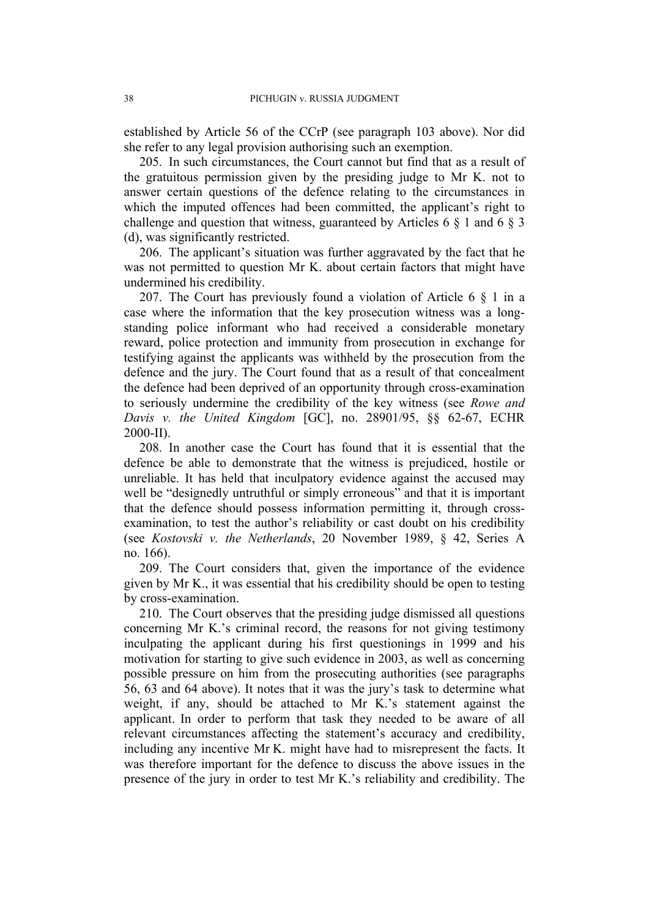established by Article 56 of the CCrP (see paragraph [103](#page-15-0) above). Nor did she refer to any legal provision authorising such an exemption.

205. In such circumstances, the Court cannot but find that as a result of the gratuitous permission given by the presiding judge to Mr K. not to answer certain questions of the defence relating to the circumstances in which the imputed offences had been committed, the applicant's right to challenge and question that witness, guaranteed by Articles 6 § 1 and 6 § 3 (d), was significantly restricted.

206. The applicant's situation was further aggravated by the fact that he was not permitted to question Mr K. about certain factors that might have undermined his credibility.

207. The Court has previously found a violation of Article 6 § 1 in a case where the information that the key prosecution witness was a longstanding police informant who had received a considerable monetary reward, police protection and immunity from prosecution in exchange for testifying against the applicants was withheld by the prosecution from the defence and the jury. The Court found that as a result of that concealment the defence had been deprived of an opportunity through cross-examination to seriously undermine the credibility of the key witness (see *Rowe and Davis v. the United Kingdom* [GC], no. 28901/95, §§ 62-67, ECHR 2000-II).

208. In another case the Court has found that it is essential that the defence be able to demonstrate that the witness is prejudiced, hostile or unreliable. It has held that inculpatory evidence against the accused may well be "designedly untruthful or simply erroneous" and that it is important that the defence should possess information permitting it, through crossexamination, to test the author's reliability or cast doubt on his credibility (see *Kostovski v. the Netherlands*, 20 November 1989, § 42, Series A no. 166).

209. The Court considers that, given the importance of the evidence given by Mr K., it was essential that his credibility should be open to testing by cross-examination.

210. The Court observes that the presiding judge dismissed all questions concerning Mr K.'s criminal record, the reasons for not giving testimony inculpating the applicant during his first questionings in 1999 and his motivation for starting to give such evidence in 2003, as well as concerning possible pressure on him from the prosecuting authorities (see paragraphs [56,](#page-9-3) [63](#page-9-4) and [64](#page-10-1) above). It notes that it was the jury's task to determine what weight, if any, should be attached to Mr K.'s statement against the applicant. In order to perform that task they needed to be aware of all relevant circumstances affecting the statement's accuracy and credibility, including any incentive Mr K. might have had to misrepresent the facts. It was therefore important for the defence to discuss the above issues in the presence of the jury in order to test Mr K.'s reliability and credibility. The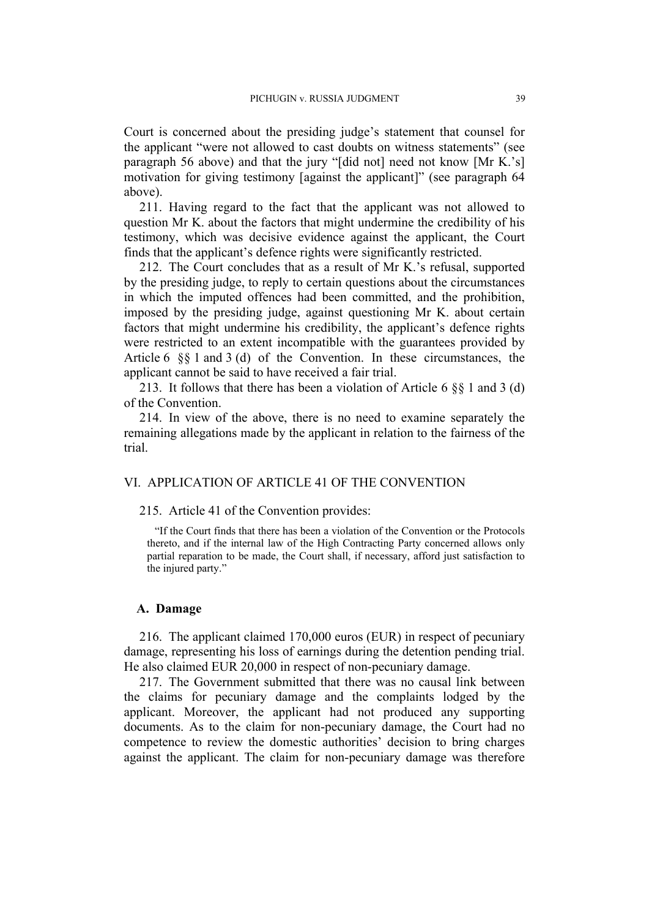Court is concerned about the presiding judge's statement that counsel for the applicant "were not allowed to cast doubts on witness statements" (see paragraph [56](#page-9-3) above) and that the jury "[did not] need not know [Mr K.'s] motivation for giving testimony [against the applicant]" (see paragraph [64](#page-10-1) above).

211. Having regard to the fact that the applicant was not allowed to question Mr K. about the factors that might undermine the credibility of his testimony, which was decisive evidence against the applicant, the Court finds that the applicant's defence rights were significantly restricted.

212. The Court concludes that as a result of Mr K.'s refusal, supported by the presiding judge, to reply to certain questions about the circumstances in which the imputed offences had been committed, and the prohibition, imposed by the presiding judge, against questioning Mr K. about certain factors that might undermine his credibility, the applicant's defence rights were restricted to an extent incompatible with the guarantees provided by Article 6 §§ 1 and 3 (d) of the Convention. In these circumstances, the applicant cannot be said to have received a fair trial.

213. It follows that there has been a violation of Article 6 §§ 1 and 3 (d) of the Convention.

214. In view of the above, there is no need to examine separately the remaining allegations made by the applicant in relation to the fairness of the trial.

# VI. APPLICATION OF ARTICLE 41 OF THE CONVENTION

#### 215. Article 41 of the Convention provides:

"If the Court finds that there has been a violation of the Convention or the Protocols thereto, and if the internal law of the High Contracting Party concerned allows only partial reparation to be made, the Court shall, if necessary, afford just satisfaction to the injured party."

#### **A. Damage**

216. The applicant claimed 170,000 euros (EUR) in respect of pecuniary damage, representing his loss of earnings during the detention pending trial. He also claimed EUR 20,000 in respect of non-pecuniary damage.

217. The Government submitted that there was no causal link between the claims for pecuniary damage and the complaints lodged by the applicant. Moreover, the applicant had not produced any supporting documents. As to the claim for non-pecuniary damage, the Court had no competence to review the domestic authorities' decision to bring charges against the applicant. The claim for non-pecuniary damage was therefore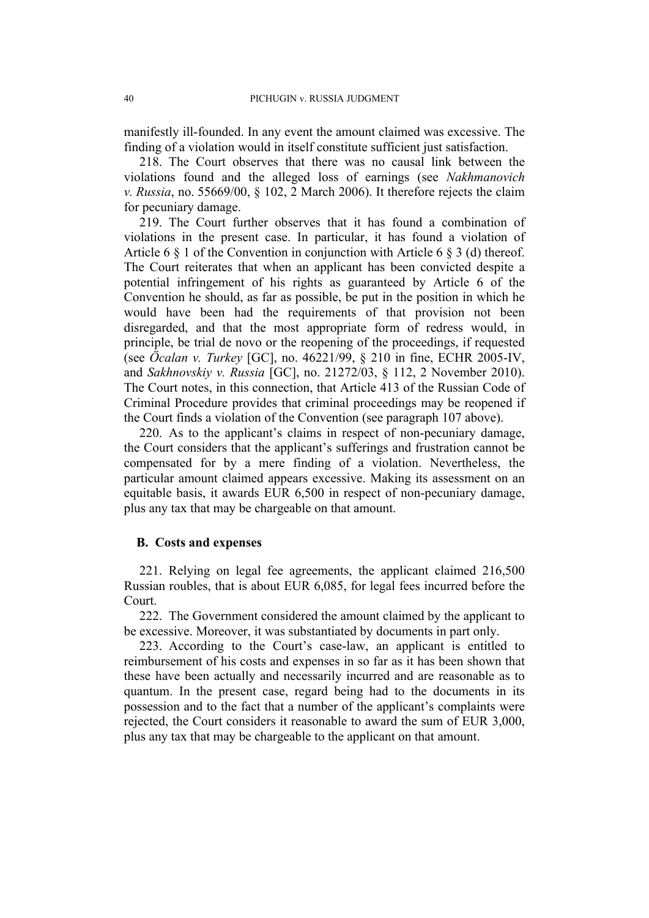manifestly ill-founded. In any event the amount claimed was excessive. The finding of a violation would in itself constitute sufficient just satisfaction.

218. The Court observes that there was no causal link between the violations found and the alleged loss of earnings (see *Nakhmanovich v. Russia*, no. 55669/00, § 102, 2 March 2006). It therefore rejects the claim for pecuniary damage.

219. The Court further observes that it has found a combination of violations in the present case. In particular, it has found a violation of Article 6 § 1 of the Convention in conjunction with Article 6 § 3 (d) thereof. The Court reiterates that when an applicant has been convicted despite a potential infringement of his rights as guaranteed by Article 6 of the Convention he should, as far as possible, be put in the position in which he would have been had the requirements of that provision not been disregarded, and that the most appropriate form of redress would, in principle, be trial de novo or the reopening of the proceedings, if requested (see *Öcalan v. Turkey* [GC], no. 46221/99, § 210 in fine, ECHR 2005-IV, and *Sakhnovskiy v. Russia* [GC], no. 21272/03, § 112, 2 November 2010). The Court notes, in this connection, that Article 413 of the Russian Code of Criminal Procedure provides that criminal proceedings may be reopened if the Court finds a violation of the Convention (see paragraph [107](#page-16-0) above).

220. As to the applicant's claims in respect of non-pecuniary damage, the Court considers that the applicant's sufferings and frustration cannot be compensated for by a mere finding of a violation. Nevertheless, the particular amount claimed appears excessive. Making its assessment on an equitable basis, it awards EUR 6,500 in respect of non-pecuniary damage, plus any tax that may be chargeable on that amount.

# **B. Costs and expenses**

221. Relying on legal fee agreements, the applicant claimed 216,500 Russian roubles, that is about EUR 6,085, for legal fees incurred before the Court.

222. The Government considered the amount claimed by the applicant to be excessive. Moreover, it was substantiated by documents in part only.

223. According to the Court's case-law, an applicant is entitled to reimbursement of his costs and expenses in so far as it has been shown that these have been actually and necessarily incurred and are reasonable as to quantum. In the present case, regard being had to the documents in its possession and to the fact that a number of the applicant's complaints were rejected, the Court considers it reasonable to award the sum of EUR 3,000, plus any tax that may be chargeable to the applicant on that amount.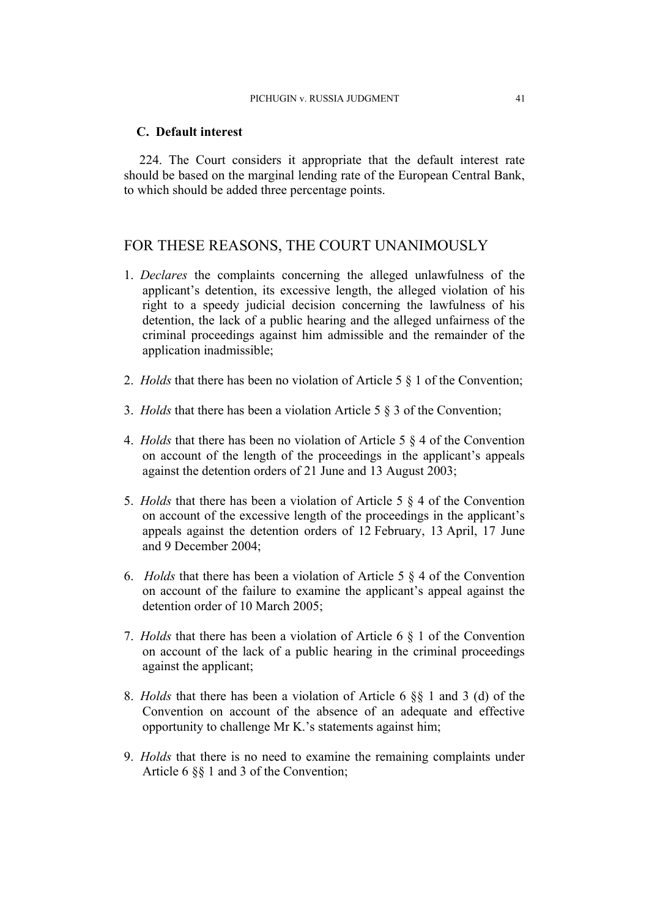#### **C. Default interest**

224. The Court considers it appropriate that the default interest rate should be based on the marginal lending rate of the European Central Bank, to which should be added three percentage points.

# FOR THESE REASONS, THE COURT UNANIMOUSLY

- 1. *Declares* the complaints concerning the alleged unlawfulness of the applicant's detention, its excessive length, the alleged violation of his right to a speedy judicial decision concerning the lawfulness of his detention, the lack of a public hearing and the alleged unfairness of the criminal proceedings against him admissible and the remainder of the application inadmissible;
- 2. *Holds* that there has been no violation of Article 5 § 1 of the Convention;
- 3. *Holds* that there has been a violation Article 5 § 3 of the Convention;
- 4. *Holds* that there has been no violation of Article 5 § 4 of the Convention on account of the length of the proceedings in the applicant's appeals against the detention orders of 21 June and 13 August 2003;
- 5. *Holds* that there has been a violation of Article 5 § 4 of the Convention on account of the excessive length of the proceedings in the applicant's appeals against the detention orders of 12 February, 13 April, 17 June and 9 December 2004;
- 6. *Holds* that there has been a violation of Article 5 § 4 of the Convention on account of the failure to examine the applicant's appeal against the detention order of 10 March 2005;
- 7. *Holds* that there has been a violation of Article 6 § 1 of the Convention on account of the lack of a public hearing in the criminal proceedings against the applicant;
- 8. *Holds* that there has been a violation of Article 6 §§ 1 and 3 (d) of the Convention on account of the absence of an adequate and effective opportunity to challenge Mr K.'s statements against him;
- 9. *Holds* that there is no need to examine the remaining complaints under Article 6 §§ 1 and 3 of the Convention;